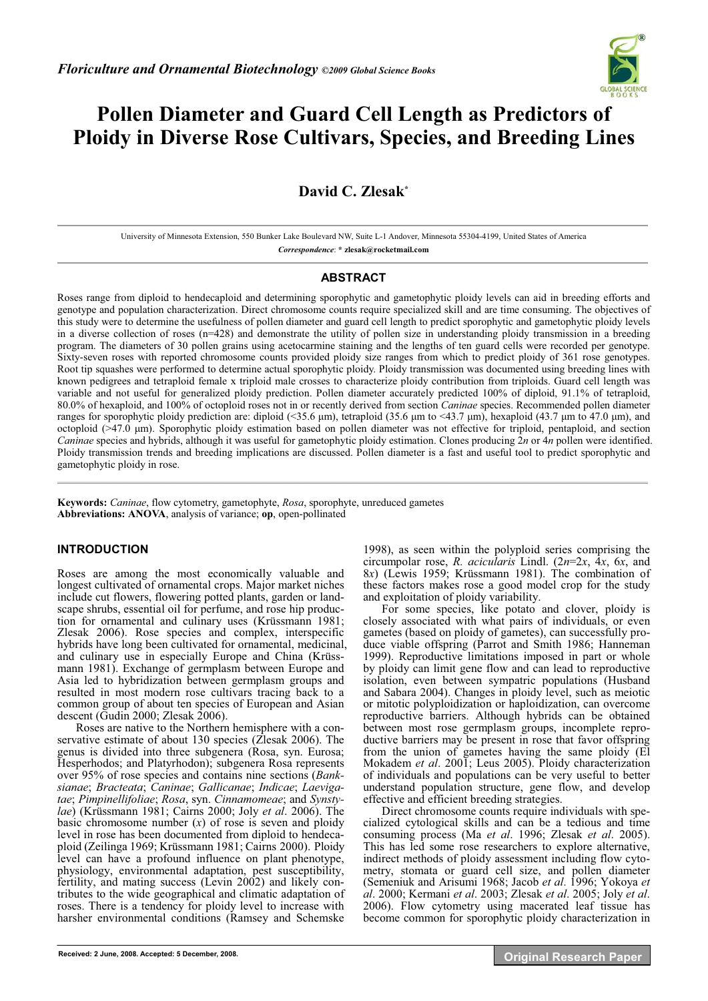

# **Pollen Diameter and Guard Cell Length as Predictors of Ploidy in Diverse Rose Cultivars, Species, and Breeding Lines**

## **David C. Zlesak\***

University of Minnesota Extension, 550 Bunker Lake Boulevard NW, Suite L-1 Andover, Minnesota 55304-4199, United States of America *Correspondence*: **\* zlesak@rocketmail.com** 

## **ABSTRACT**

Roses range from diploid to hendecaploid and determining sporophytic and gametophytic ploidy levels can aid in breeding efforts and genotype and population characterization. Direct chromosome counts require specialized skill and are time consuming. The objectives of this study were to determine the usefulness of pollen diameter and guard cell length to predict sporophytic and gametophytic ploidy levels in a diverse collection of roses (n=428) and demonstrate the utility of pollen size in understanding ploidy transmission in a breeding program. The diameters of 30 pollen grains using acetocarmine staining and the lengths of ten guard cells were recorded per genotype. Sixty-seven roses with reported chromosome counts provided ploidy size ranges from which to predict ploidy of 361 rose genotypes. Root tip squashes were performed to determine actual sporophytic ploidy. Ploidy transmission was documented using breeding lines with known pedigrees and tetraploid female x triploid male crosses to characterize ploidy contribution from triploids. Guard cell length was variable and not useful for generalized ploidy prediction. Pollen diameter accurately predicted 100% of diploid, 91.1% of tetraploid, 80.0% of hexaploid, and 100% of octoploid roses not in or recently derived from section *Caninae* species. Recommended pollen diameter ranges for sporophytic ploidy prediction are: diploid (<35.6  $\mu$ m), tetraploid (35.6  $\mu$ m to <43.7  $\mu$ m), hexaploid (43.7  $\mu$ m to 47.0  $\mu$ m), and octoploid (>47.0 µm). Sporophytic ploidy estimation based on pollen diameter was not effective for triploid, pentaploid, and section *Caninae* species and hybrids, although it was useful for gametophytic ploidy estimation. Clones producing 2*n* or 4*n* pollen were identified. Ploidy transmission trends and breeding implications are discussed. Pollen diameter is a fast and useful tool to predict sporophytic and gametophytic ploidy in rose.  $\mathcal{L} = \{ \mathcal{L} = \{ \mathcal{L} = \{ \mathcal{L} = \{ \mathcal{L} = \{ \mathcal{L} = \{ \mathcal{L} = \{ \mathcal{L} = \{ \mathcal{L} = \{ \mathcal{L} = \{ \mathcal{L} = \{ \mathcal{L} = \{ \mathcal{L} = \{ \mathcal{L} = \{ \mathcal{L} = \{ \mathcal{L} = \{ \mathcal{L} = \{ \mathcal{L} = \{ \mathcal{L} = \{ \mathcal{L} = \{ \mathcal{L} = \{ \mathcal{L} = \{ \mathcal{L} = \{ \mathcal{L} = \{ \mathcal{$ 

**Keywords:** *Caninae*, flow cytometry, gametophyte, *Rosa*, sporophyte, unreduced gametes **Abbreviations: ANOVA**, analysis of variance; **op**, open-pollinated

## **INTRODUCTION**

Roses are among the most economically valuable and longest cultivated of ornamental crops. Major market niches include cut flowers, flowering potted plants, garden or landscape shrubs, essential oil for perfume, and rose hip production for ornamental and culinary uses (Krüssmann 1981; Zlesak 2006). Rose species and complex, interspecific hybrids have long been cultivated for ornamental, medicinal, and culinary use in especially Europe and China (Krüssmann 1981). Exchange of germplasm between Europe and Asia led to hybridization between germplasm groups and resulted in most modern rose cultivars tracing back to a common group of about ten species of European and Asian descent (Gudin 2000; Zlesak 2006).

Roses are native to the Northern hemisphere with a conservative estimate of about 130 species (Zlesak 2006). The genus is divided into three subgenera (Rosa, syn. Eurosa; Hesperhodos; and Platyrhodon); subgenera Rosa represents over 95% of rose species and contains nine sections (*Banksianae*; *Bracteata*; *Caninae*; *Gallicanae*; *Indicae*; *Laevigatae*; *Pimpinellifoliae*; *Rosa*, syn. *Cinnamomeae*; and *Synstylae*) (Krüssmann 1981; Cairns 2000; Joly *et al*. 2006). The basic chromosome number  $(x)$  of rose is seven and ploidy level in rose has been documented from diploid to hendecaploid (Zeilinga 1969; Krüssmann 1981; Cairns 2000). Ploidy level can have a profound influence on plant phenotype, physiology, environmental adaptation, pest susceptibility, fertility, and mating success (Levin 2002) and likely contributes to the wide geographical and climatic adaptation of roses. There is a tendency for ploidy level to increase with harsher environmental conditions (Ramsey and Schemske 1998), as seen within the polyploid series comprising the circumpolar rose, *R. acicularis* Lindl. (2*n*=2*x*, 4*x*, 6*x*, and 8*x*) (Lewis 1959; Krüssmann 1981). The combination of these factors makes rose a good model crop for the study and exploitation of ploidy variability.

For some species, like potato and clover, ploidy is closely associated with what pairs of individuals, or even gametes (based on ploidy of gametes), can successfully produce viable offspring (Parrot and Smith 1986; Hanneman 1999). Reproductive limitations imposed in part or whole by ploidy can limit gene flow and can lead to reproductive isolation, even between sympatric populations (Husband and Sabara 2004). Changes in ploidy level, such as meiotic or mitotic polyploidization or haploidization, can overcome reproductive barriers. Although hybrids can be obtained between most rose germplasm groups, incomplete reproductive barriers may be present in rose that favor offspring from the union of gametes having the same ploidy (El Mokadem *et al*. 2001; Leus 2005). Ploidy characterization of individuals and populations can be very useful to better understand population structure, gene flow, and develop effective and efficient breeding strategies.

Direct chromosome counts require individuals with specialized cytological skills and can be a tedious and time consuming process (Ma *et al*. 1996; Zlesak *et al*. 2005). This has led some rose researchers to explore alternative, indirect methods of ploidy assessment including flow cytometry, stomata or guard cell size, and pollen diameter (Semeniuk and Arisumi 1968; Jacob *et al*. 1996; Yokoya *et al*. 2000; Kermani *et al*. 2003; Zlesak *et al*. 2005; Joly *et al*. 2006). Flow cytometry using macerated leaf tissue has become common for sporophytic ploidy characterization in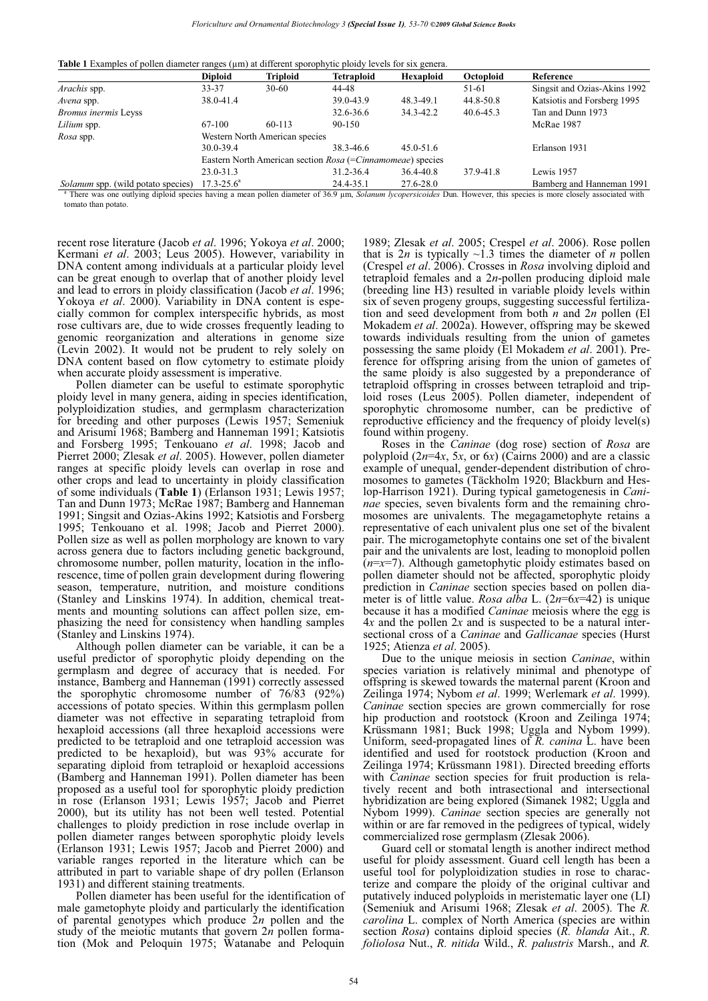**Table 1** Examples of pollen diameter ranges (μm) at different sporophytic ploidy levels for six genera.

|                                           | <b>Diploid</b>        | Triploid                                                   | <b>Tetraploid</b> | Hexaploid     | Octoploid | Reference                    |
|-------------------------------------------|-----------------------|------------------------------------------------------------|-------------------|---------------|-----------|------------------------------|
| Arachis spp.                              | 33-37                 | $30 - 60$                                                  | 44-48             |               | 51-61     | Singsit and Ozias-Akins 1992 |
| Avena spp.                                | 38.0-41.4             |                                                            | 39.0-43.9         | 48.3-49.1     | 44.8-50.8 | Katsiotis and Forsberg 1995  |
| <b>Bromus inermis Leyss</b>               |                       |                                                            | 32.6-36.6         | 34.3-42.2     | 40.6-45.3 | Tan and Dunn 1973            |
| Lilium spp.                               | 67-100                | 60-113                                                     | 90-150            |               |           | McRae 1987                   |
| Rosa spp.                                 |                       | Western North American species                             |                   |               |           |                              |
|                                           | 30.0-39.4             |                                                            | 38.3-46.6         | $45.0 - 51.6$ |           | Erlanson 1931                |
|                                           |                       | Eastern North American section Rosa (=Cinnamomeae) species |                   |               |           |                              |
|                                           | 23.0-31.3             |                                                            | 31.2-36.4         | 36.4-40.8     | 37.9-41.8 | Lewis 1957                   |
| <i>Solanum</i> spp. (wild potato species) | $17.3 - 25.6^{\circ}$ |                                                            | 24.4-35.1         | 27.6-28.0     |           | Bamberg and Hanneman 1991    |

a There was one outlying diploid species having a mean pollen diameter of 36.9 μm, *Solanum lycopersicoides* Dun. However, this species is more closely associated with tomato than potato.

recent rose literature (Jacob *et al*. 1996; Yokoya *et al*. 2000; Kermani *et al*. 2003; Leus 2005). However, variability in DNA content among individuals at a particular ploidy level can be great enough to overlap that of another ploidy level and lead to errors in ploidy classification (Jacob *et al*. 1996; Yokoya *et al*. 2000). Variability in DNA content is especially common for complex interspecific hybrids, as most rose cultivars are, due to wide crosses frequently leading to genomic reorganization and alterations in genome size (Levin 2002). It would not be prudent to rely solely on DNA content based on flow cytometry to estimate ploidy when accurate ploidy assessment is imperative.

Pollen diameter can be useful to estimate sporophytic ploidy level in many genera, aiding in species identification, polyploidization studies, and germplasm characterization for breeding and other purposes (Lewis 1957; Semeniuk and Arisumi 1968; Bamberg and Hanneman 1991; Katsiotis and Forsberg 1995; Tenkouano *et al*. 1998; Jacob and Pierret 2000; Zlesak *et al*. 2005). However, pollen diameter ranges at specific ploidy levels can overlap in rose and other crops and lead to uncertainty in ploidy classification of some individuals (**Table 1**) (Erlanson 1931; Lewis 1957; Tan and Dunn 1973; McRae 1987; Bamberg and Hanneman 1991; Singsit and Ozias-Akins 1992; Katsiotis and Forsberg 1995; Tenkouano et al. 1998; Jacob and Pierret 2000). Pollen size as well as pollen morphology are known to vary across genera due to factors including genetic background, chromosome number, pollen maturity, location in the inflorescence, time of pollen grain development during flowering season, temperature, nutrition, and moisture conditions (Stanley and Linskins 1974). In addition, chemical treatments and mounting solutions can affect pollen size, emphasizing the need for consistency when handling samples (Stanley and Linskins 1974).

Although pollen diameter can be variable, it can be a useful predictor of sporophytic ploidy depending on the germplasm and degree of accuracy that is needed. For instance, Bamberg and Hanneman (1991) correctly assessed the sporophytic chromosome number of 76/83 (92%) accessions of potato species. Within this germplasm pollen diameter was not effective in separating tetraploid from hexaploid accessions (all three hexaploid accessions were predicted to be tetraploid and one tetraploid accession was predicted to be hexaploid), but was 93% accurate for separating diploid from tetraploid or hexaploid accessions (Bamberg and Hanneman 1991). Pollen diameter has been proposed as a useful tool for sporophytic ploidy prediction in rose (Erlanson 1931; Lewis 1957; Jacob and Pierret 2000), but its utility has not been well tested. Potential challenges to ploidy prediction in rose include overlap in pollen diameter ranges between sporophytic ploidy levels (Erlanson 1931; Lewis 1957; Jacob and Pierret 2000) and variable ranges reported in the literature which can be attributed in part to variable shape of dry pollen (Erlanson 1931) and different staining treatments.

Pollen diameter has been useful for the identification of male gametophyte ploidy and particularly the identification of parental genotypes which produce 2*n* pollen and the study of the meiotic mutants that govern 2*n* pollen formation (Mok and Peloquin 1975; Watanabe and Peloquin 1989; Zlesak *et al*. 2005; Crespel *et al*. 2006). Rose pollen that is  $2n$  is typically  $\sim$ 1.3 times the diameter of *n* pollen (Crespel *et al*. 2006). Crosses in *Rosa* involving diploid and tetraploid females and a 2*n*-pollen producing diploid male (breeding line H3) resulted in variable ploidy levels within six of seven progeny groups, suggesting successful fertilization and seed development from both *n* and 2*n* pollen (El Mokadem *et al*. 2002a). However, offspring may be skewed towards individuals resulting from the union of gametes possessing the same ploidy (El Mokadem *et al*. 2001). Preference for offspring arising from the union of gametes of the same ploidy is also suggested by a preponderance of tetraploid offspring in crosses between tetraploid and triploid roses (Leus 2005). Pollen diameter, independent of sporophytic chromosome number, can be predictive of reproductive efficiency and the frequency of ploidy level(s) found within progeny.

Roses in the *Caninae* (dog rose) section of *Rosa* are polyploid  $(2n=4x, 5x, or 6x)$  (Cairns 2000) and are a classic example of unequal, gender-dependent distribution of chromosomes to gametes (Täckholm 1920; Blackburn and Heslop-Harrison 1921). During typical gametogenesis in *Caninae* species, seven bivalents form and the remaining chromosomes are univalents. The megagametophyte retains a representative of each univalent plus one set of the bivalent pair. The microgametophyte contains one set of the bivalent pair and the univalents are lost, leading to monoploid pollen (*n*=*x*=7). Although gametophytic ploidy estimates based on pollen diameter should not be affected, sporophytic ploidy prediction in *Caninae* section species based on pollen diameter is of little value. *Rosa alba* L. (2*n*=6*x*=42) is unique because it has a modified *Caninae* meiosis where the egg is 4*x* and the pollen 2*x* and is suspected to be a natural intersectional cross of a *Caninae* and *Gallicanae* species (Hurst 1925; Atienza *et al*. 2005).

Due to the unique meiosis in section *Caninae*, within species variation is relatively minimal and phenotype of offspring is skewed towards the maternal parent (Kroon and Zeilinga 1974; Nybom *et al*. 1999; Werlemark *et al*. 1999). *Caninae* section species are grown commercially for rose hip production and rootstock (Kroon and Zeilinga 1974; Krüssmann 1981; Buck 1998; Uggla and Nybom 1999). Uniform, seed-propagated lines of *R. canina* L. have been identified and used for rootstock production (Kroon and Zeilinga 1974; Krüssmann 1981). Directed breeding efforts with *Caninae* section species for fruit production is relatively recent and both intrasectional and intersectional hybridization are being explored (Simanek 1982; Uggla and Nybom 1999). *Caninae* section species are generally not within or are far removed in the pedigrees of typical, widely commercialized rose germplasm (Zlesak 2006).

Guard cell or stomatal length is another indirect method useful for ploidy assessment. Guard cell length has been a useful tool for polyploidization studies in rose to characterize and compare the ploidy of the original cultivar and putatively induced polyploids in meristematic layer one (LI) (Semeniuk and Arisumi 1968; Zlesak *et al*. 2005). The *R. carolina* L. complex of North America (species are within section *Rosa*) contains diploid species (*R. blanda* Ait., *R. foliolosa* Nut., *R. nitida* Wild., *R. palustris* Marsh., and *R.*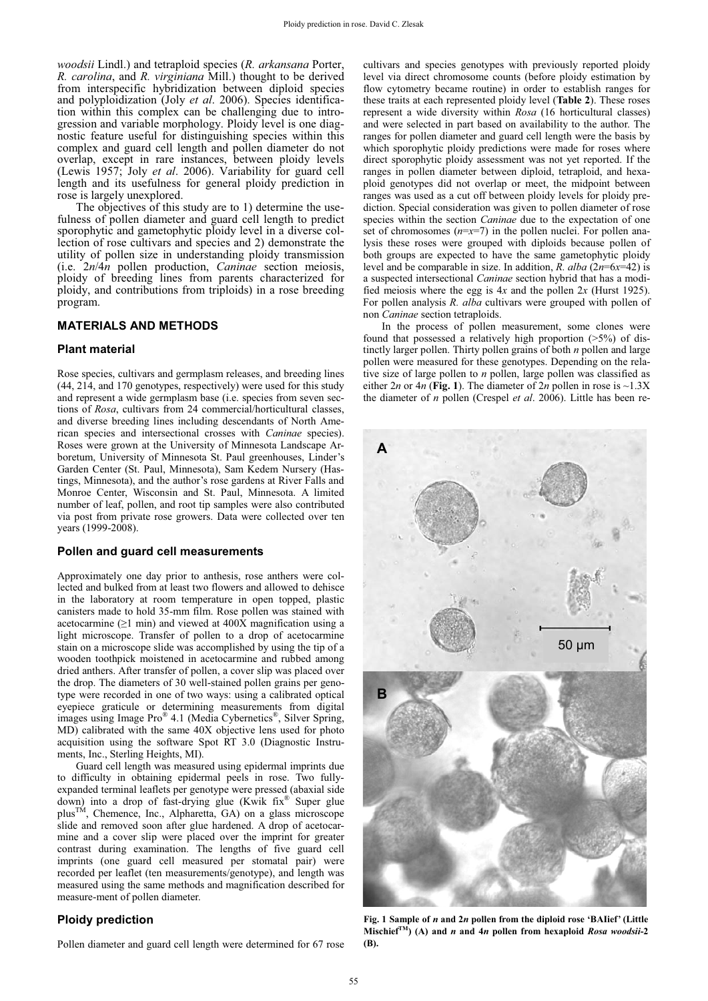*woodsii* Lindl.) and tetraploid species (*R. arkansana* Porter, *R. carolina*, and *R. virginiana* Mill.) thought to be derived from interspecific hybridization between diploid species and polyploidization (Joly *et al*. 2006). Species identification within this complex can be challenging due to introgression and variable morphology. Ploidy level is one diagnostic feature useful for distinguishing species within this complex and guard cell length and pollen diameter do not overlap, except in rare instances, between ploidy levels (Lewis 1957; Joly *et al*. 2006). Variability for guard cell length and its usefulness for general ploidy prediction in rose is largely unexplored.

The objectives of this study are to 1) determine the usefulness of pollen diameter and guard cell length to predict sporophytic and gametophytic ploidy level in a diverse collection of rose cultivars and species and 2) demonstrate the utility of pollen size in understanding ploidy transmission (i.e. 2*n*/4*n* pollen production, *Caninae* section meiosis, ploidy of breeding lines from parents characterized for ploidy, and contributions from triploids) in a rose breeding program.

## **MATERIALS AND METHODS**

## **Plant material**

Rose species, cultivars and germplasm releases, and breeding lines (44, 214, and 170 genotypes, respectively) were used for this study and represent a wide germplasm base (i.e. species from seven sections of *Rosa*, cultivars from 24 commercial/horticultural classes, and diverse breeding lines including descendants of North American species and intersectional crosses with *Caninae* species). Roses were grown at the University of Minnesota Landscape Arboretum, University of Minnesota St. Paul greenhouses, Linder's Garden Center (St. Paul, Minnesota), Sam Kedem Nursery (Hastings, Minnesota), and the author's rose gardens at River Falls and Monroe Center, Wisconsin and St. Paul, Minnesota. A limited number of leaf, pollen, and root tip samples were also contributed via post from private rose growers. Data were collected over ten years (1999-2008).

## **Pollen and guard cell measurements**

Approximately one day prior to anthesis, rose anthers were collected and bulked from at least two flowers and allowed to dehisce in the laboratory at room temperature in open topped, plastic canisters made to hold 35-mm film. Rose pollen was stained with acetocarmine ( $\geq$ 1 min) and viewed at 400X magnification using a light microscope. Transfer of pollen to a drop of acetocarmine stain on a microscope slide was accomplished by using the tip of a wooden toothpick moistened in acetocarmine and rubbed among dried anthers. After transfer of pollen, a cover slip was placed over the drop. The diameters of 30 well-stained pollen grains per genotype were recorded in one of two ways: using a calibrated optical eyepiece graticule or determining measurements from digital images using Image Pro® 4.1 (Media Cybernetics®, Silver Spring, MD) calibrated with the same 40X objective lens used for photo acquisition using the software Spot RT 3.0 (Diagnostic Instruments, Inc., Sterling Heights, MI).

Guard cell length was measured using epidermal imprints due to difficulty in obtaining epidermal peels in rose. Two fullyexpanded terminal leaflets per genotype were pressed (abaxial side down) into a drop of fast-drying glue (Kwik fix<sup>®</sup> Super glue plus<sup>TM</sup>, Chemence, Inc., Alpharetta, GA) on a glass microscone chemence, Inc., Alpharetta, GA) on a glass microscope slide and removed soon after glue hardened. A drop of acetocarmine and a cover slip were placed over the imprint for greater contrast during examination. The lengths of five guard cell imprints (one guard cell measured per stomatal pair) were recorded per leaflet (ten measurements/genotype), and length was measured using the same methods and magnification described for measure-ment of pollen diameter.

## **Ploidy prediction**

Pollen diameter and guard cell length were determined for 67 rose

cultivars and species genotypes with previously reported ploidy level via direct chromosome counts (before ploidy estimation by flow cytometry became routine) in order to establish ranges for these traits at each represented ploidy level (**Table 2**). These roses represent a wide diversity within *Rosa* (16 horticultural classes) and were selected in part based on availability to the author. The ranges for pollen diameter and guard cell length were the basis by which sporophytic ploidy predictions were made for roses where direct sporophytic ploidy assessment was not yet reported. If the ranges in pollen diameter between diploid, tetraploid, and hexaploid genotypes did not overlap or meet, the midpoint between ranges was used as a cut off between ploidy levels for ploidy prediction. Special consideration was given to pollen diameter of rose species within the section *Caninae* due to the expectation of one set of chromosomes  $(n=x=7)$  in the pollen nuclei. For pollen analysis these roses were grouped with diploids because pollen of both groups are expected to have the same gametophytic ploidy level and be comparable in size. In addition, *R. alba* (2*n*=6*x*=42) is a suspected intersectional *Caninae* section hybrid that has a modified meiosis where the egg is 4*x* and the pollen 2*x* (Hurst 1925). For pollen analysis *R. alba* cultivars were grouped with pollen of non *Caninae* section tetraploids.

In the process of pollen measurement, some clones were found that possessed a relatively high proportion  $(>5%)$  of distinctly larger pollen. Thirty pollen grains of both *n* pollen and large pollen were measured for these genotypes. Depending on the relative size of large pollen to *n* pollen, large pollen was classified as either  $2n$  or  $4n$  (Fig. 1). The diameter of  $2n$  pollen in rose is  $\sim$ 1.3X the diameter of *n* pollen (Crespel *et al*. 2006). Little has been re-



**Fig. 1 Sample of** *n* **and 2***n* **pollen from the diploid rose 'BAIief' (Little Mischief**<sup>*TM*</sup> $($ A $)$  and *n* and 4*n* pollen from hexaploid *Rosa woodsii*-2 **(B).**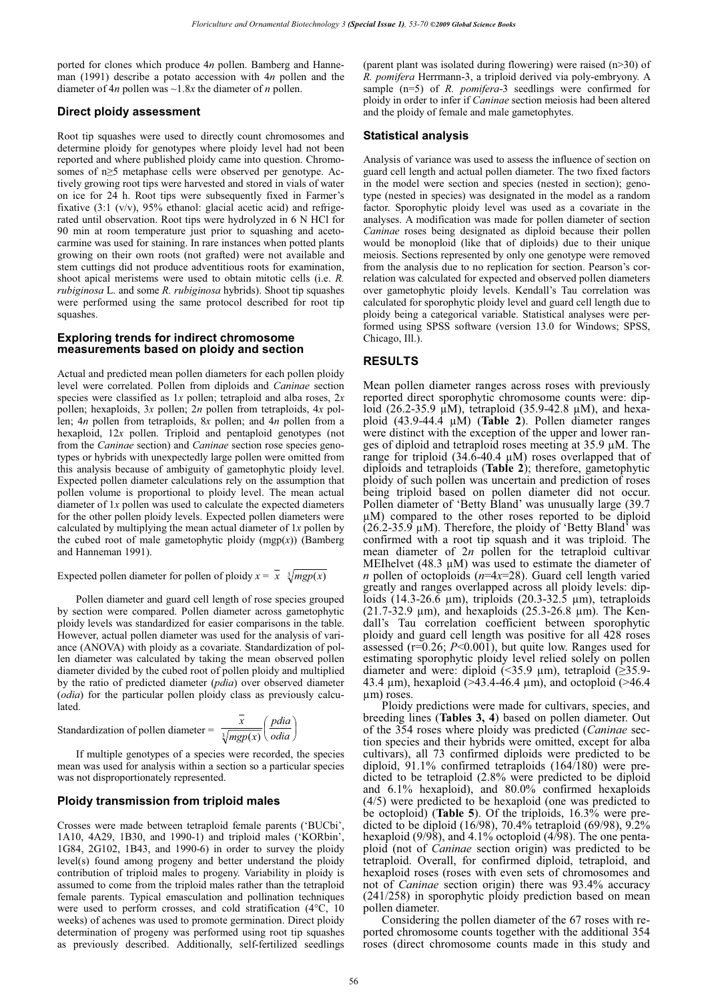ported for clones which produce 4*n* pollen. Bamberg and Hanneman (1991) describe a potato accession with 4*n* pollen and the diameter of 4*n* pollen was ~1.8*x* the diameter of *n* pollen.

## **Direct ploidy assessment**

Root tip squashes were used to directly count chromosomes and determine ploidy for genotypes where ploidy level had not been reported and where published ploidy came into question. Chromosomes of  $n \geq 5$  metaphase cells were observed per genotype. Actively growing root tips were harvested and stored in vials of water on ice for 24 h. Root tips were subsequently fixed in Farmer's fixative (3:1 (v/v), 95% ethanol: glacial acetic acid) and refrigerated until observation. Root tips were hydrolyzed in 6 N HCl for 90 min at room temperature just prior to squashing and acetocarmine was used for staining. In rare instances when potted plants growing on their own roots (not grafted) were not available and stem cuttings did not produce adventitious roots for examination, shoot apical meristems were used to obtain mitotic cells (i.e. *R. rubiginosa* L. and some *R. rubiginosa* hybrids). Shoot tip squashes were performed using the same protocol described for root tip squashes.

## **Exploring trends for indirect chromosome measurements based on ploidy and section**

Actual and predicted mean pollen diameters for each pollen ploidy level were correlated. Pollen from diploids and *Caninae* section species were classified as 1*x* pollen; tetraploid and alba roses, 2*x* pollen; hexaploids, 3*x* pollen; 2*n* pollen from tetraploids, 4*x* pollen; 4*n* pollen from tetraploids, 8*x* pollen; and 4*n* pollen from a hexaploid, 12*x* pollen. Triploid and pentaploid genotypes (not from the *Caninae* section) and *Caninae* section rose species genotypes or hybrids with unexpectedly large pollen were omitted from this analysis because of ambiguity of gametophytic ploidy level. Expected pollen diameter calculations rely on the assumption that pollen volume is proportional to ploidy level. The mean actual diameter of 1*x* pollen was used to calculate the expected diameters for the other pollen ploidy levels. Expected pollen diameters were calculated by multiplying the mean actual diameter of 1*x* pollen by the cubed root of male gametophytic ploidy (mgp(*x*)) (Bamberg and Hanneman 1991).

Expected pollen diameter for pollen of ploidy  $x = x \sqrt[3]{mgp(x)}$ 

Pollen diameter and guard cell length of rose species grouped by section were compared. Pollen diameter across gametophytic ploidy levels was standardized for easier comparisons in the table. However, actual pollen diameter was used for the analysis of variance (ANOVA) with ploidy as a covariate. Standardization of pollen diameter was calculated by taking the mean observed pollen diameter divided by the cubed root of pollen ploidy and multiplied by the ratio of predicted diameter (*pdia*) over observed diameter (*odia*) for the particular pollen ploidy class as previously calculated.

Standardization of pollen diameter = 
$$
\frac{\overline{x}}{\sqrt[3]{mgp(x)}} \left( \frac{pdia}{odia} \right)
$$

If multiple genotypes of a species were recorded, the species mean was used for analysis within a section so a particular species was not disproportionately represented.

#### **Ploidy transmission from triploid males**

Crosses were made between tetraploid female parents ('BUCbi', 1A10, 4A29, 1B30, and 1990-1) and triploid males ('KORbin', 1G84, 2G102, 1B43, and 1990-6) in order to survey the ploidy level(s) found among progeny and better understand the ploidy contribution of triploid males to progeny. Variability in ploidy is assumed to come from the triploid males rather than the tetraploid female parents. Typical emasculation and pollination techniques were used to perform crosses, and cold stratification (4°C, 10 weeks) of achenes was used to promote germination. Direct ploidy determination of progeny was performed using root tip squashes as previously described. Additionally, self-fertilized seedlings

(parent plant was isolated during flowering) were raised (n>30) of *R. pomifera* Herrmann-3, a triploid derived via poly-embryony. A sample (n=5) of *R. pomifera*-3 seedlings were confirmed for ploidy in order to infer if *Caninae* section meiosis had been altered and the ploidy of female and male gametophytes.

## **Statistical analysis**

Analysis of variance was used to assess the influence of section on guard cell length and actual pollen diameter. The two fixed factors in the model were section and species (nested in section); genotype (nested in species) was designated in the model as a random factor. Sporophytic ploidy level was used as a covariate in the analyses. A modification was made for pollen diameter of section *Caninae* roses being designated as diploid because their pollen would be monoploid (like that of diploids) due to their unique meiosis. Sections represented by only one genotype were removed from the analysis due to no replication for section. Pearson's correlation was calculated for expected and observed pollen diameters over gametophytic ploidy levels. Kendall's Tau correlation was calculated for sporophytic ploidy level and guard cell length due to ploidy being a categorical variable. Statistical analyses were performed using SPSS software (version 13.0 for Windows; SPSS, Chicago, Ill.).

## **RESULTS**

Mean pollen diameter ranges across roses with previously reported direct sporophytic chromosome counts were: diploid (26.2-35.9 μM), tetraploid (35.9-42.8 μM), and hexaploid (43.9-44.4 μM) (**Table 2**). Pollen diameter ranges were distinct with the exception of the upper and lower ranges of diploid and tetraploid roses meeting at 35.9 μM. The range for triploid  $(34.6-40.4 \mu M)$  roses overlapped that of diploids and tetraploids (**Table 2**); therefore, gametophytic ploidy of such pollen was uncertain and prediction of roses being triploid based on pollen diameter did not occur. Pollen diameter of 'Betty Bland' was unusually large (39.7 μM) compared to the other roses reported to be diploid (26.2-35.9  $\mu$ M). Therefore, the ploidy of 'Betty Bland' was confirmed with a root tip squash and it was triploid. The mean diameter of 2*n* pollen for the tetraploid cultivar MEIhelvet (48.3  $\mu$ M) was used to estimate the diameter of *n* pollen of octoploids (*n*=4*x*=28). Guard cell length varied greatly and ranges overlapped across all ploidy levels: diploids (14.3-26.6 μm), triploids (20.3-32.5 μm), tetraploids (21.7-32.9 μm), and hexaploids (25.3-26.8 μm). The Kendall's Tau correlation coefficient between sporophytic ploidy and guard cell length was positive for all 428 roses assessed (r=0.26; *P*<0.001), but quite low. Ranges used for estimating sporophytic ploidy level relied solely on pollen diameter and were: diploid  $\sim$  35.9  $\mu$ m), tetraploid  $\geq$ 35.9-43.4 μm), hexaploid (>43.4-46.4 μm), and octoploid (>46.4 μm) roses.

Ploidy predictions were made for cultivars, species, and breeding lines (**Tables 3, 4**) based on pollen diameter. Out of the 354 roses where ploidy was predicted (*Caninae* section species and their hybrids were omitted, except for alba cultivars), all 73 confirmed diploids were predicted to be diploid, 91.1% confirmed tetraploids (164/180) were predicted to be tetraploid (2.8% were predicted to be diploid and 6.1% hexaploid), and 80.0% confirmed hexaploids (4/5) were predicted to be hexaploid (one was predicted to be octoploid) (**Table 5**). Of the triploids, 16.3% were predicted to be diploid (16/98), 70.4% tetraploid (69/98), 9.2% hexaploid (9/98), and 4.1% octoploid (4/98). The one pentaploid (not of *Caninae* section origin) was predicted to be tetraploid. Overall, for confirmed diploid, tetraploid, and hexaploid roses (roses with even sets of chromosomes and not of *Caninae* section origin) there was 93.4% accuracy (241/258) in sporophytic ploidy prediction based on mean pollen diameter.

Considering the pollen diameter of the 67 roses with reported chromosome counts together with the additional 354 roses (direct chromosome counts made in this study and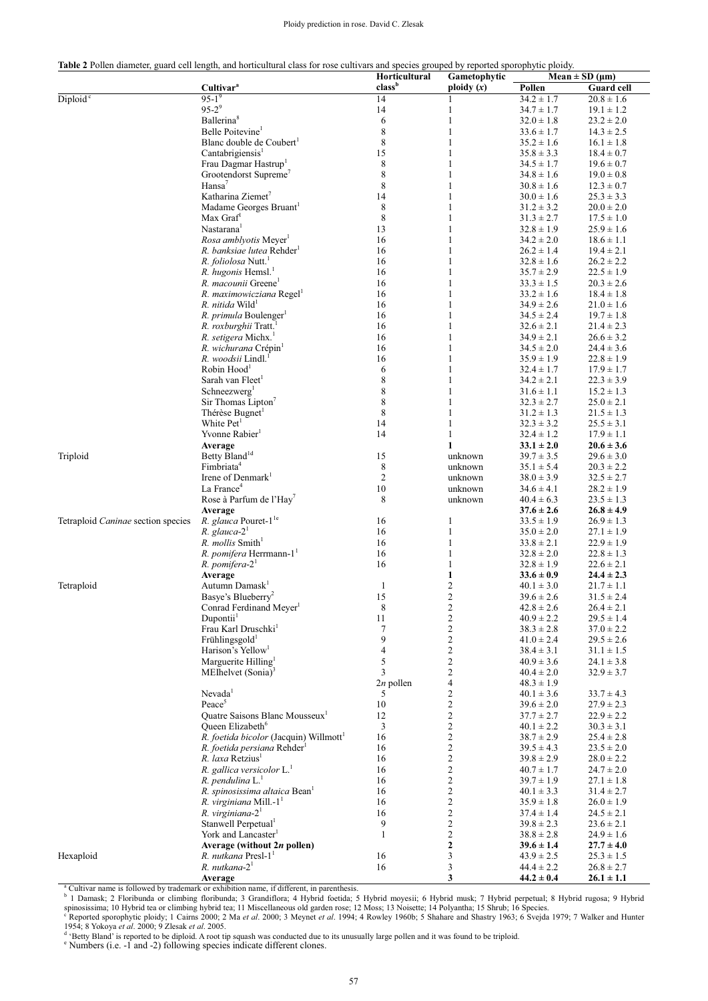#### Ploidy prediction in rose. David C. Zlesak

| <b>Table 2</b> Pollen diameter, guard cell length, and horticultural class for rose cultivars and species grouped by reported sporophytic ploidy. |  |
|---------------------------------------------------------------------------------------------------------------------------------------------------|--|
|---------------------------------------------------------------------------------------------------------------------------------------------------|--|

|                                    | Table 2 I onen diameter, guard een lengin, and norteuntural elass for fose cultivals and speeles grouped by reported sporophytic plotdy. | Horticultural     | Gametophytic                 | Mean $\pm$ SD ( $\mu$ m)         |                                  |
|------------------------------------|------------------------------------------------------------------------------------------------------------------------------------------|-------------------|------------------------------|----------------------------------|----------------------------------|
|                                    | Cultivar <sup>a</sup>                                                                                                                    | classb            | ploidy $(x)$                 | Pollen                           | Guard cell                       |
| Diploid <sup>c</sup>               | $95-1^{9}$                                                                                                                               | 14                | 1                            | $34.2 \pm 1.7$                   | $20.8 \pm 1.6$                   |
|                                    | $95-2^9$                                                                                                                                 | 14                | 1                            | $34.7 \pm 1.7$                   | $19.1 \pm 1.2$                   |
|                                    | Ballerina <sup>8</sup>                                                                                                                   | 6                 | 1                            | $32.0 \pm 1.8$                   | $23.2 \pm 2.0$                   |
|                                    | Belle Poitevine <sup>1</sup>                                                                                                             | 8                 | 1                            | $33.6 \pm 1.7$                   | $14.3 \pm 2.5$                   |
|                                    | Blanc double de Coubert <sup>1</sup>                                                                                                     | 8                 | 1                            | $35.2 \pm 1.6$                   | $16.1 \pm 1.8$                   |
|                                    | Cantabrigiensis <sup>1</sup>                                                                                                             | 15                | 1                            | $35.8 \pm 3.3$                   | $18.4 \pm 0.7$                   |
|                                    | Frau Dagmar Hastrup                                                                                                                      | 8                 | 1                            | $34.5 \pm 1.7$                   | $19.6 \pm 0.7$                   |
|                                    | Grootendorst Supreme'                                                                                                                    | 8                 | 1                            | $34.8 \pm 1.6$                   | $19.0 \pm 0.8$                   |
|                                    | Hansa <sup>7</sup><br>Katharina Ziemet <sup>7</sup>                                                                                      | $\,$ 8 $\,$<br>14 | 1<br>1                       | $30.8 \pm 1.6$<br>$30.0 \pm 1.6$ | $12.3 \pm 0.7$                   |
|                                    | Madame Georges Bruant                                                                                                                    | 8                 | 1                            | $31.2 \pm 3.2$                   | $25.3 \pm 3.3$<br>$20.0 \pm 2.0$ |
|                                    | Max Graf <sup>1</sup>                                                                                                                    | 8                 | 1                            | $31.3 \pm 2.7$                   | $17.5 \pm 1.0$                   |
|                                    | Nastarana <sup>1</sup>                                                                                                                   | 13                | 1                            | $32.8 \pm 1.9$                   | $25.9 \pm 1.6$                   |
|                                    | Rosa amblyotis Meyer <sup>1</sup>                                                                                                        | 16                | 1                            | $34.2 \pm 2.0$                   | $18.6 \pm 1.1$                   |
|                                    | R. banksiae lutea Rehder                                                                                                                 | 16                | 1                            | $26.2 \pm 1.4$                   | $19.4 \pm 2.1$                   |
|                                    | R. foliolosa Nutt. <sup>1</sup>                                                                                                          | 16                | 1                            | $32.8 \pm 1.6$                   | $26.2 \pm 2.2$                   |
|                                    | R. hugonis Hemsl. <sup>1</sup>                                                                                                           | 16                | 1                            | $35.7 \pm 2.9$                   | $22.5 \pm 1.9$                   |
|                                    | R. macounii Greene'                                                                                                                      | 16                | 1                            | $33.3 \pm 1.5$                   | $20.3 \pm 2.6$                   |
|                                    | R. maximowicziana Regel <sup>1</sup>                                                                                                     | 16                | 1                            | $33.2 \pm 1.6$                   | $18.4 \pm 1.8$                   |
|                                    | R. nitida Wild <sup>1</sup>                                                                                                              | 16                | 1                            | $34.9 \pm 2.6$                   | $21.0 \pm 1.6$                   |
|                                    | R. <i>primula</i> Boulenger <sup>1</sup>                                                                                                 | 16                | 1                            | $34.5 \pm 2.4$                   | $19.7 \pm 1.8$                   |
|                                    | R. roxburghii Tratt.                                                                                                                     | 16                | 1                            | $32.6 \pm 2.1$                   | $21.4 \pm 2.3$                   |
|                                    | R. setigera Michx.                                                                                                                       | 16                | 1                            | $34.9 \pm 2.1$                   | $26.6 \pm 3.2$                   |
|                                    | R. wichurana Crépin <sup>1</sup>                                                                                                         | 16                | 1                            | $34.5 \pm 2.0$                   | $24.4 \pm 3.6$                   |
|                                    | R. woodsii Lindl.                                                                                                                        | 16                | 1                            | $35.9 \pm 1.9$                   | $22.8 \pm 1.9$                   |
|                                    | Robin Hood                                                                                                                               | 6                 | 1                            | $32.4 \pm 1.7$                   | $17.9 \pm 1.7$                   |
|                                    | Sarah van Fleet <sup>1</sup>                                                                                                             | $\,$ 8 $\,$       | 1                            | $34.2 \pm 2.1$                   | $22.3 \pm 3.9$                   |
|                                    | Schneezwerg <sup>1</sup>                                                                                                                 | 8                 | 1                            | $31.6 \pm 1.1$                   | $15.2 \pm 1.3$                   |
|                                    | Sir Thomas Lipton <sup>7</sup>                                                                                                           | 8                 | 1                            | $32.3 \pm 2.7$                   | $25.0 \pm 2.1$                   |
|                                    | Thérèse Bugnet                                                                                                                           | 8                 | 1                            | $31.2 \pm 1.3$                   | $21.5 \pm 1.3$                   |
|                                    | White Pet <sup>1</sup>                                                                                                                   | 14                | 1                            | $32.3 \pm 3.2$                   | $25.5 \pm 3.1$                   |
|                                    | Yvonne Rabier <sup>1</sup>                                                                                                               | 14                | 1                            | $32.4 \pm 1.2$                   | $17.9 \pm 1.1$                   |
|                                    | Average                                                                                                                                  |                   | $\mathbf{1}$                 | $33.1 \pm 2.0$                   | $20.6 \pm 3.6$                   |
| Triploid                           | Betty Bland <sup>1d</sup>                                                                                                                | 15                | unknown                      | $39.7 \pm 3.5$                   | $29.6 \pm 3.0$                   |
|                                    | Fimbriata <sup>4</sup><br>Irene of Denmark <sup>1</sup>                                                                                  | 8<br>2            | unknown                      | $35.1 \pm 5.4$                   | $20.3 \pm 2.2$                   |
|                                    | La France <sup>4</sup>                                                                                                                   | 10                | unknown<br>unknown           | $38.0 \pm 3.9$<br>$34.6 \pm 4.1$ | $32.5 \pm 2.7$<br>$28.2 \pm 1.9$ |
|                                    | Rose à Parfum de l'Hay'                                                                                                                  | 8                 | unknown                      | $40.4 \pm 6.3$                   | $23.5 \pm 1.3$                   |
|                                    | Average                                                                                                                                  |                   |                              | $37.6 \pm 2.6$                   | $26.8 \pm 4.9$                   |
| Tetraploid Caninae section species | R. glauca Pouret-1 <sup>1e</sup>                                                                                                         | 16                | 1                            | $33.5 \pm 1.9$                   | $26.9 \pm 1.3$                   |
|                                    | $R.$ glauca- $21$                                                                                                                        | 16                | $\mathbf{1}$                 | $35.0 \pm 2.0$                   | $27.1 \pm 1.9$                   |
|                                    | R. mollis Smith <sup>1</sup>                                                                                                             | 16                | $\mathbf{1}$                 | $33.8 \pm 2.1$                   | $22.9 \pm 1.9$                   |
|                                    | R. pomifera Herrmann-1 <sup>1</sup>                                                                                                      | 16                | 1                            | $32.8 \pm 2.0$                   | $22.8 \pm 1.3$                   |
|                                    | $R.$ pomifera- $21$                                                                                                                      | 16                | 1                            | $32.8 \pm 1.9$                   | $22.6 \pm 2.1$                   |
|                                    | Average                                                                                                                                  |                   | 1                            | $33.6 \pm 0.9$                   | $24.4 \pm 2.3$                   |
| Tetraploid                         | Autumn Damask <sup>1</sup>                                                                                                               | 1                 | $\overline{c}$               | $40.1 \pm 3.0$                   | $21.7 \pm 1.1$                   |
|                                    | Basye's Blueberry <sup>2</sup>                                                                                                           | 15                | $\overline{c}$               | $39.6 \pm 2.6$                   | $31.5 \pm 2.4$                   |
|                                    | Conrad Ferdinand Meyer <sup>1</sup>                                                                                                      | $\,$ 8 $\,$       | $\overline{\mathbf{c}}$      | $42.8 \pm 2.6$                   | $26.4 \pm 2.1$                   |
|                                    | Dupontii <sup>1</sup>                                                                                                                    | 11                | $\overline{c}$               | $40.9 \pm 2.2$                   | $29.5 \pm 1.4$                   |
|                                    | Frau Karl Druschki $^1$                                                                                                                  | 7                 | $\overline{\mathbf{c}}$      | $38.3 \pm 2.8$                   | $37.0 \pm 2.2$                   |
|                                    | Frühlingsgold <sup>1</sup>                                                                                                               | 9                 | $\overline{c}$               | $41.0 \pm 2.4$                   | $29.5 \pm 2.6$                   |
|                                    | Harison's Yellow <sup>1</sup>                                                                                                            | 4                 | $\overline{\mathbf{c}}$      | $38.4 \pm 3.1$                   | $31.1 \pm 1.5$                   |
|                                    | Marguerite Hilling <sup>1</sup>                                                                                                          | 5                 | $\overline{c}$               | $40.9 \pm 3.6$                   | $24.1 \pm 3.8$                   |
|                                    | MEIhelvet $(Sonia)^3$                                                                                                                    | 3<br>$2n$ pollen  | $\overline{\mathbf{c}}$<br>4 | $40.4 \pm 2.0$<br>$48.3 \pm 1.9$ | $32.9 \pm 3.7$                   |
|                                    | $N$ evada <sup>1</sup>                                                                                                                   | 5                 | $\overline{\mathbf{c}}$      | $40.1 \pm 3.6$                   | $33.7 \pm 4.3$                   |
|                                    | Peace <sup>5</sup>                                                                                                                       | 10                | $\overline{c}$               | $39.6 \pm 2.0$                   | $27.9 \pm 2.3$                   |
|                                    | Quatre Saisons Blanc Mousseux <sup>1</sup>                                                                                               | 12                | $\overline{\mathbf{c}}$      | $37.7 \pm 2.7$                   | $22.9 \pm 2.2$                   |
|                                    | Queen Elizabeth <sup>6</sup>                                                                                                             | 3                 | 2                            | $40.1 \pm 2.2$                   | $30.3 \pm 3.1$                   |
|                                    | R. foetida bicolor (Jacquin) Willmott <sup>1</sup>                                                                                       | 16                | $\overline{c}$               | $38.7 \pm 2.9$                   | $25.4 \pm 2.8$                   |
|                                    | R. foetida persiana Rehder                                                                                                               | 16                | $\overline{c}$               | $39.5 \pm 4.3$                   | $23.5 \pm 2.0$                   |
|                                    | R. laxa Retzius <sup>1</sup>                                                                                                             | 16                | $\overline{c}$               | $39.8 \pm 2.9$                   | $28.0 \pm 2.2$                   |
|                                    | R. gallica versicolor L. <sup>1</sup>                                                                                                    | 16                | $\overline{\mathbf{c}}$      | $40.7 \pm 1.7$                   | $24.7 \pm 2.0$                   |
|                                    | R. pendulina $L^1$                                                                                                                       | 16                | $\overline{c}$               | $39.7 \pm 1.9$                   | $27.1 \pm 1.8$                   |
|                                    | R. spinosissima altaica Bean <sup>1</sup>                                                                                                | 16                | 2                            | $40.1 \pm 3.3$                   | $31.4 \pm 2.7$                   |
|                                    | R. virginiana Mill.-1 <sup>1</sup>                                                                                                       | 16                | $\overline{c}$               | $35.9 \pm 1.8$                   | $26.0 \pm 1.9$                   |
|                                    | $R.$ virginiana- $21$                                                                                                                    | 16                | 2                            | $37.4 \pm 1.4$                   | $24.5 \pm 2.1$                   |
|                                    | Stanwell Perpetual <sup>1</sup>                                                                                                          | 9                 | $\overline{c}$               | $39.8 \pm 2.3$                   | $23.6 \pm 2.1$                   |
|                                    | York and Lancaster <sup>1</sup>                                                                                                          | 1                 | $\overline{\mathbf{c}}$      | $38.8 \pm 2.8$                   | $24.9 \pm 1.6$                   |
|                                    | Average (without 2n pollen)                                                                                                              |                   | $\mathbf{2}$                 | $39.6 \pm 1.4$                   | $27.7 \pm 4.0$                   |
| Hexaploid                          | R. nutkana Presl-1 <sup>1</sup>                                                                                                          | 16                | 3                            | $43.9 \pm 2.5$                   | $25.3 \pm 1.5$                   |
|                                    | $R.$ nutkana- $21$                                                                                                                       | 16                | 3                            | $44.4 \pm 2.2$                   | $26.8 \pm 2.7$                   |
|                                    | Average                                                                                                                                  |                   | 3                            | $44.2 \pm 0.4$                   | $26.1 \pm 1.1$                   |

spinosissima; 10 Hybrid tea or climbing hybrid tea; 11 Miscellaneous old garden rose; 12 Moss; 13 Noisette; 14 Polyantha; 15 Shrub; 16 Species.<br><sup>c</sup> Reported sporophytic ploidy; 1 Cairns 2000; 2 Ma et al. 2000; 3 Meynet et

1954; 8 Yokoya *et al.* 2000; 9 Zlesak *et al.* 2005.<br><sup>d</sup> 'Betty Bland' is reported to be diploid. A root tip squash was conducted due to its unusually large pollen and it was found to be triploid.<br><sup>e</sup> Numbers (i.e. -1 and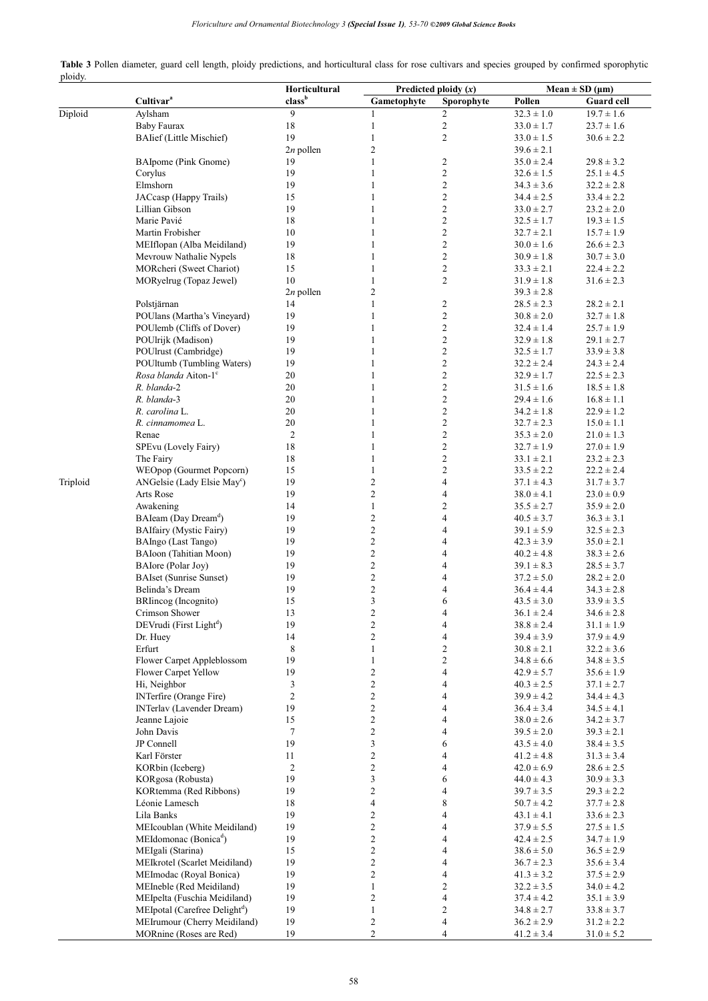| Table 3 Pollen diameter, guard cell length, ploidy predictions, and horticultural class for rose cultivars and species grouped by confirmed sporophytic |  |  |  |  |  |
|---------------------------------------------------------------------------------------------------------------------------------------------------------|--|--|--|--|--|
| ploidy.                                                                                                                                                 |  |  |  |  |  |

|          |                                           | Horticultural  | Predicted ploidy $(x)$ |                          | $Mean \pm SD$ (µm) |                   |  |
|----------|-------------------------------------------|----------------|------------------------|--------------------------|--------------------|-------------------|--|
|          | Cultivar <sup>a</sup>                     | classb         | Gametophyte            | Sporophyte               | Pollen             | <b>Guard cell</b> |  |
| Diploid  | Aylsham                                   | 9              | 1                      | $\overline{c}$           | $32.3 \pm 1.0$     | $19.7 \pm 1.6$    |  |
|          | <b>Baby Faurax</b>                        | 18             | $\mathbf{1}$           | $\overline{c}$           | $33.0 \pm 1.7$     | $23.7 \pm 1.6$    |  |
|          | <b>BAIief</b> (Little Mischief)           | 19             | $\mathbf{1}$           | $\overline{c}$           | $33.0 \pm 1.5$     | $30.6 \pm 2.2$    |  |
|          |                                           | $2n$ pollen    | $\overline{c}$         |                          | $39.6 \pm 2.1$     |                   |  |
|          | <b>BAIpome</b> (Pink Gnome)               | 19             | $\mathbf{1}$           | 2                        | $35.0 \pm 2.4$     | $29.8 \pm 3.2$    |  |
|          | Corylus                                   | 19             | $\mathbf{1}$           | $\boldsymbol{2}$         | $32.6 \pm 1.5$     | $25.1 \pm 4.5$    |  |
|          | Elmshorn                                  | 19             | $\mathbf{1}$           | $\overline{c}$           | $34.3 \pm 3.6$     | $32.2 \pm 2.8$    |  |
|          | JACcasp (Happy Trails)                    | 15             | $\mathbf{1}$           | $\overline{c}$           | $34.4 \pm 2.5$     | $33.4 \pm 2.2$    |  |
|          |                                           | 19             | $\mathbf{1}$           |                          |                    |                   |  |
|          | Lillian Gibson                            |                |                        | $\boldsymbol{2}$         | $33.0 \pm 2.7$     | $23.2 \pm 2.0$    |  |
|          | Marie Pavié                               | 18             | $\mathbf{1}$           | $\boldsymbol{2}$         | $32.5 \pm 1.7$     | $19.3 \pm 1.5$    |  |
|          | Martin Frobisher                          | 10             | $\mathbf{1}$           | $\boldsymbol{2}$         | $32.7 \pm 2.1$     | $15.7 \pm 1.9$    |  |
|          | MEIflopan (Alba Meidiland)                | 19             | $\mathbf{1}$           | $\boldsymbol{2}$         | $30.0 \pm 1.6$     | $26.6 \pm 2.3$    |  |
|          | Mevrouw Nathalie Nypels                   | 18             | $\mathbf{1}$           | $\boldsymbol{2}$         | $30.9 \pm 1.8$     | $30.7 \pm 3.0$    |  |
|          | MORcheri (Sweet Chariot)                  | 15             | $\mathbf{1}$           | $\overline{\mathbf{c}}$  | $33.3 \pm 2.1$     | $22.4 \pm 2.2$    |  |
|          | MORyelrug (Topaz Jewel)                   | 10             | $\mathbf{1}$           | $\overline{c}$           | $31.9 \pm 1.8$     | $31.6 \pm 2.3$    |  |
|          |                                           | $2n$ pollen    | $\overline{c}$         |                          | $39.3 \pm 2.8$     |                   |  |
|          | Polstjärnan                               | 14             | $\mathbf{1}$           | $\overline{c}$           | $28.5 \pm 2.3$     | $28.2 \pm 2.1$    |  |
|          | POUlans (Martha's Vineyard)               | 19             | $\mathbf{1}$           | $\sqrt{2}$               | $30.8 \pm 2.0$     | $32.7 \pm 1.8$    |  |
|          | POUlemb (Cliffs of Dover)                 | 19             | $\mathbf{1}$           | $\overline{c}$           | $32.4 \pm 1.4$     | $25.7 \pm 1.9$    |  |
|          | POUlrijk (Madison)                        | 19             | $\mathbf{1}$           | $\overline{c}$           | $32.9 \pm 1.8$     | $29.1 \pm 2.7$    |  |
|          | POUlrust (Cambridge)                      | 19             | $\mathbf{1}$           | $\sqrt{2}$               | $32.5 \pm 1.7$     | $33.9 \pm 3.8$    |  |
|          | POUltumb (Tumbling Waters)                | 19             | $\mathbf{1}$           | $\boldsymbol{2}$         | $32.2 \pm 2.4$     | $24.3 \pm 2.4$    |  |
|          | Rosa blanda Aiton-1 <sup>c</sup>          | 20             | $\mathbf{1}$           | $\boldsymbol{2}$         | $32.9 \pm 1.7$     | $22.5 \pm 2.3$    |  |
|          | R. blanda-2                               | 20             | $\mathbf{1}$           | $\boldsymbol{2}$         | $31.5 \pm 1.6$     | $18.5 \pm 1.8$    |  |
|          | R. blanda-3                               | 20             | $\mathbf{1}$           | $\boldsymbol{2}$         | $29.4 \pm 1.6$     | $16.8 \pm 1.1$    |  |
|          | R. carolina L.                            | 20             | $\mathbf{1}$           | $\boldsymbol{2}$         | $34.2 \pm 1.8$     | $22.9 \pm 1.2$    |  |
|          | R. cinnamomea L.                          | 20             | $\mathbf{1}$           | $\boldsymbol{2}$         | $32.7 \pm 2.3$     | $15.0 \pm 1.1$    |  |
|          | Renae                                     | $\overline{c}$ | $\mathbf{1}$           | $\overline{c}$           |                    |                   |  |
|          |                                           |                |                        |                          | $35.3 \pm 2.0$     | $21.0 \pm 1.3$    |  |
|          | SPEvu (Lovely Fairy)                      | 18             | $\mathbf{1}$           | $\boldsymbol{2}$         | $32.7 \pm 1.9$     | $27.0 \pm 1.9$    |  |
|          | The Fairy                                 | 18             | $\mathbf{1}$           | $\boldsymbol{2}$         | $33.1 \pm 2.1$     | $23.2 \pm 2.3$    |  |
|          | WEOpop (Gourmet Popcorn)                  | 15             | $\mathbf{1}$           | $\boldsymbol{2}$         | $33.5 \pm 2.2$     | $22.2 \pm 2.4$    |  |
| Triploid | ANGelsie (Lady Elsie May <sup>c</sup> )   | 19             | $\overline{c}$         | $\overline{\mathcal{L}}$ | $37.1 \pm 4.3$     | $31.7 \pm 3.7$    |  |
|          | Arts Rose                                 | 19             | $\mathbf{2}$           | 4                        | $38.0 \pm 4.1$     | $23.0 \pm 0.9$    |  |
|          | Awakening                                 | 14             | $\mathbf{1}$           | $\overline{c}$           | $35.5 \pm 2.7$     | $35.9 \pm 2.0$    |  |
|          | BAIeam (Day Dream <sup>d</sup> )          | 19             | $\overline{c}$         | $\overline{\mathcal{L}}$ | $40.5 \pm 3.7$     | $36.3 \pm 3.1$    |  |
|          | BAIfairy (Mystic Fairy)                   | 19             | $\overline{c}$         | 4                        | $39.1 \pm 5.9$     | $32.5 \pm 2.3$    |  |
|          | BAIngo (Last Tango)                       | 19             | $\overline{c}$         | 4                        | $42.3 \pm 3.9$     | $35.0 \pm 2.1$    |  |
|          | BAIoon (Tahitian Moon)                    | 19             | $\overline{c}$         | 4                        | $40.2 \pm 4.8$     | $38.3 \pm 2.6$    |  |
|          | BAIore (Polar Joy)                        | 19             | $\overline{c}$         | 4                        | $39.1 \pm 8.3$     | $28.5 \pm 3.7$    |  |
|          | <b>BAIset (Sunrise Sunset)</b>            | 19             | $\overline{c}$         | 4                        | $37.2 \pm 5.0$     | $28.2 \pm 2.0$    |  |
|          | Belinda's Dream                           | 19             | $\overline{c}$         | 4                        | $36.4 \pm 4.4$     | $34.3 \pm 2.8$    |  |
|          | BRIncog (Incognito)                       | 15             | 3                      | 6                        | $43.5 \pm 3.0$     | $33.9 \pm 3.5$    |  |
|          | Crimson Shower                            | 13             | $\overline{c}$         | $\overline{4}$           | $36.1 \pm 2.4$     | $34.6 \pm 2.8$    |  |
|          | DEVrudi (First Light <sup>d</sup> )       | 19             | $\overline{c}$         | $\overline{\mathcal{A}}$ | $38.8 \pm 2.4$     | $31.1 \pm 1.9$    |  |
|          | Dr. Huey                                  | 14             | $\overline{c}$         | 4                        | $39.4 \pm 3.9$     | $37.9 \pm 4.9$    |  |
|          | Erfurt                                    | 8              | $\mathbf{1}$           | $\overline{c}$           | $30.8 \pm 2.1$     | $32.2 \pm 3.6$    |  |
|          | Flower Carpet Appleblossom                | 19             | $\mathbf{1}$           | $\overline{c}$           | $34.8\pm6.6$       | $34.8 \pm 3.5$    |  |
|          | Flower Carpet Yellow                      | 19             | $\overline{c}$         | 4                        | $42.9 \pm 5.7$     | $35.6 \pm 1.9$    |  |
|          | Hi, Neighbor                              | 3              | $\overline{c}$         | 4                        | $40.3 \pm 2.5$     | $37.1 \pm 2.7$    |  |
|          | <b>INTerfire</b> (Orange Fire)            | $\overline{c}$ | $\overline{c}$         |                          | $39.9 \pm 4.2$     | $34.4 \pm 4.3$    |  |
|          |                                           |                |                        | 4                        |                    |                   |  |
|          | INTerlav (Lavender Dream)                 | 19             | $\overline{c}$         | 4                        | $36.4 \pm 3.4$     | $34.5 \pm 4.1$    |  |
|          | Jeanne Lajoie                             | 15             | $\overline{c}$         | 4                        | $38.0 \pm 2.6$     | $34.2 \pm 3.7$    |  |
|          | John Davis                                | $\tau$         | $\overline{c}$         | 4                        | $39.5 \pm 2.0$     | $39.3 \pm 2.1$    |  |
|          | JP Connell                                | 19             | 3                      | 6                        | $43.5 \pm 4.0$     | $38.4 \pm 3.5$    |  |
|          | Karl Förster                              | $11\,$         | $\overline{c}$         | 4                        | $41.2 \pm 4.8$     | $31.3 \pm 3.4$    |  |
|          | KORbin (Iceberg)                          | $\mathfrak{2}$ | $\overline{c}$         | 4                        | $42.0 \pm 6.9$     | $28.6 \pm 2.5$    |  |
|          | KORgosa (Robusta)                         | 19             | 3                      | 6                        | $44.0 \pm 4.3$     | $30.9 \pm 3.3$    |  |
|          | KORtemma (Red Ribbons)                    | 19             | $\overline{c}$         | 4                        | $39.7 \pm 3.5$     | $29.3 \pm 2.2$    |  |
|          | Léonie Lamesch                            | 18             | 4                      | 8                        | $50.7 \pm 4.2$     | $37.7 \pm 2.8$    |  |
|          | Lila Banks                                | 19             | $\overline{c}$         | 4                        | $43.1 \pm 4.1$     | $33.6 \pm 2.3$    |  |
|          | MEIcoublan (White Meidiland)              | 19             | $\overline{c}$         | 4                        | $37.9 \pm 5.5$     | $27.5 \pm 1.5$    |  |
|          | MEIdomonac (Bonica <sup>d</sup> )         | 19             | $\overline{c}$         | 4                        | $42.4 \pm 2.5$     | $34.7 \pm 1.9$    |  |
|          | MEIgali (Starina)                         | 15             | $\overline{c}$         | 4                        | $38.6 \pm 5.0$     | $36.5 \pm 2.9$    |  |
|          | MEIkrotel (Scarlet Meidiland)             | 19             | $\overline{c}$         | 4                        | $36.7 \pm 2.3$     | $35.6 \pm 3.4$    |  |
|          | MEImodac (Royal Bonica)                   | 19             | $\overline{c}$         | 4                        | $41.3 \pm 3.2$     | $37.5 \pm 2.9$    |  |
|          | MEIneble (Red Meidiland)                  | 19             | $\mathbf{1}$           | 2                        | $32.2 \pm 3.5$     | $34.0 \pm 4.2$    |  |
|          | MEIpelta (Fuschia Meidiland)              | 19             | $\overline{c}$         | $\overline{\mathbf{4}}$  | $37.4 \pm 4.2$     | $35.1 \pm 3.9$    |  |
|          | MEIpotal (Carefree Delight <sup>d</sup> ) | 19             | $\mathbf{1}$           | $\overline{c}$           | $34.8 \pm 2.7$     | $33.8 \pm 3.7$    |  |
|          | MEIrumour (Cherry Meidiland)              | 19             | 2                      | 4                        | $36.2 \pm 2.9$     | $31.2 \pm 2.2$    |  |
|          | MORnine (Roses are Red)                   | 19             | $\overline{2}$         | $\overline{4}$           |                    |                   |  |
|          |                                           |                |                        |                          | $41.2 \pm 3.4$     | $31.0 \pm 5.2$    |  |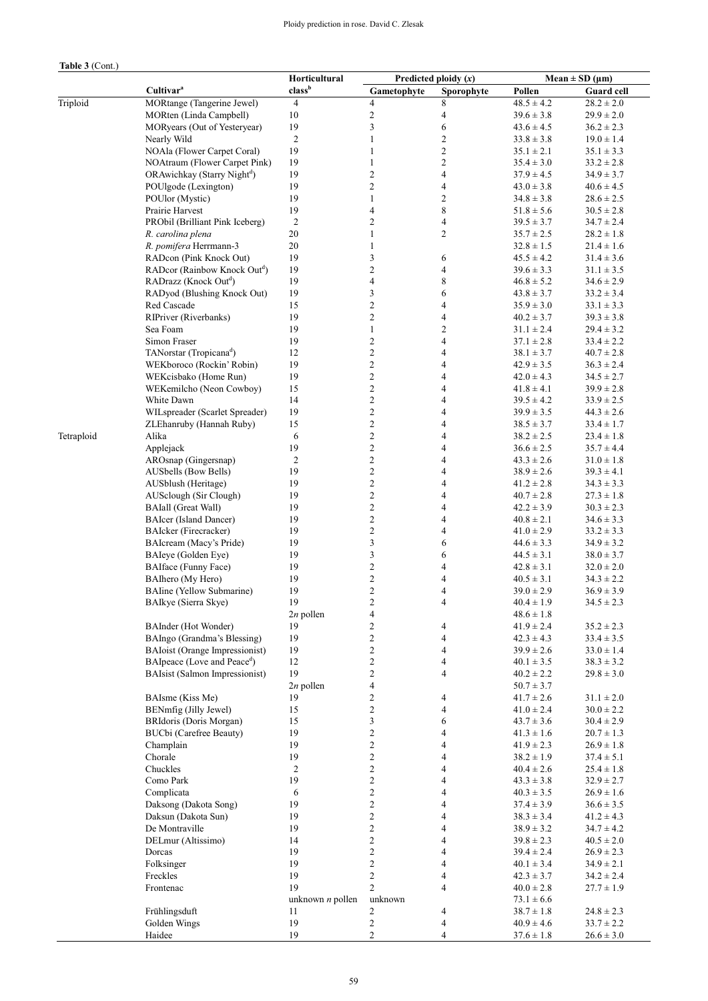## Ploidy prediction in rose. David C. Zlesak

## **Table 3** (Cont.)

|            |                                          | Horticultural      | Predicted ploidy $(x)$   |                          | Mean $\pm$ SD ( $\mu$ m) |                   |  |
|------------|------------------------------------------|--------------------|--------------------------|--------------------------|--------------------------|-------------------|--|
|            | Cultivar <sup>a</sup>                    | class <sup>b</sup> | Gametophyte              | Sporophyte               | Pollen                   | <b>Guard cell</b> |  |
| Triploid   | MORtange (Tangerine Jewel)               | $\overline{4}$     | $\overline{4}$           | 8                        | $48.5 \pm 4.2$           | $28.2 \pm 2.0$    |  |
|            | MORten (Linda Campbell)                  | 10                 | $\overline{c}$           | $\overline{\mathcal{L}}$ | $39.6 \pm 3.8$           | $29.9 \pm 2.0$    |  |
|            | MORyears (Out of Yesteryear)             | 19                 | $\mathfrak{Z}$           | 6                        | $43.6 \pm 4.5$           | $36.2 \pm 2.3$    |  |
|            | Nearly Wild                              | $\overline{2}$     | $\mathbf{1}$             | $\mathfrak{2}$           | $33.8 \pm 3.8$           | $19.0 \pm 1.4$    |  |
|            | NOAla (Flower Carpet Coral)              | 19                 | $\mathbf{1}$             | $\overline{c}$           | $35.1 \pm 2.1$           | $35.1 \pm 3.3$    |  |
|            | NOAtraum (Flower Carpet Pink)            | 19                 | $\mathbf{1}$             | $\overline{c}$           | $35.4 \pm 3.0$           | $33.2 \pm 2.8$    |  |
|            | ORAwichkay (Starry Night <sup>d</sup> )  | 19                 | $\sqrt{2}$               | $\overline{4}$           | $37.9 \pm 4.5$           | $34.9 \pm 3.7$    |  |
|            | POUlgode (Lexington)                     | 19                 | $\overline{c}$           | $\overline{4}$           | $43.0 \pm 3.8$           | $40.6 \pm 4.5$    |  |
|            | POUlor (Mystic)                          | 19                 | $\mathbf{1}$             | $\mathfrak{2}$           | $34.8 \pm 3.8$           | $28.6 \pm 2.5$    |  |
|            | Prairie Harvest                          | 19                 | $\overline{\mathcal{L}}$ | $\,$ 8 $\,$              | $51.8 \pm 5.6$           | $30.5 \pm 2.8$    |  |
|            | PRObil (Brilliant Pink Iceberg)          | $\sqrt{2}$         | $\mathfrak{2}$           | 4                        | $39.5 \pm 3.7$           | $34.7 \pm 2.4$    |  |
|            | R. carolina plena                        | 20                 | $\mathbf{1}$             | $\mathfrak{2}$           | $35.7 \pm 2.5$           | $28.2 \pm 1.8$    |  |
|            | R. pomifera Herrmann-3                   | 20                 | $\mathbf{1}$             |                          | $32.8 \pm 1.5$           | $21.4 \pm 1.6$    |  |
|            | RADcon (Pink Knock Out)                  | 19                 | 3                        | 6                        | $45.5 \pm 4.2$           | $31.4 \pm 3.6$    |  |
|            | RADcor (Rainbow Knock Out <sup>d</sup> ) | 19                 | $\sqrt{2}$               | $\overline{4}$           | $39.6 \pm 3.3$           | $31.1 \pm 3.5$    |  |
|            | RADrazz (Knock Out <sup>d</sup> )        | 19                 | $\overline{\mathcal{L}}$ | 8                        | $46.8 \pm 5.2$           | $34.6 \pm 2.9$    |  |
|            | RADyod (Blushing Knock Out)              | 19                 | 3                        | 6                        | $43.8 \pm 3.7$           | $33.2 \pm 3.4$    |  |
|            | Red Cascade                              | 15                 | $\overline{c}$           | $\overline{4}$           | $35.9 \pm 3.0$           | $33.1 \pm 3.3$    |  |
|            | RIPriver (Riverbanks)                    | 19                 | $\sqrt{2}$               | $\overline{4}$           | $40.2 \pm 3.7$           | $39.3 \pm 3.8$    |  |
|            | Sea Foam                                 | 19                 | $\mathbf{1}$             | $\overline{c}$           | $31.1 \pm 2.4$           | $29.4 \pm 3.2$    |  |
|            | Simon Fraser                             | 19                 | $\sqrt{2}$               | $\overline{4}$           | $37.1 \pm 2.8$           | $33.4 \pm 2.2$    |  |
|            | TANorstar (Tropicana <sup>d</sup> )      | 12                 | $\sqrt{2}$               | $\overline{4}$           | $38.1 \pm 3.7$           | $40.7 \pm 2.8$    |  |
|            | WEKboroco (Rockin' Robin)                | 19                 | $\overline{c}$           | $\overline{4}$           | $42.9 \pm 3.5$           | $36.3 \pm 2.4$    |  |
|            | WEKcisbako (Home Run)                    | 19                 | $\overline{c}$           | $\overline{4}$           | $42.0 \pm 4.3$           | $34.5 \pm 2.7$    |  |
|            | WEKemilcho (Neon Cowboy)                 | 15                 | $\sqrt{2}$               | 4                        | $41.8 \pm 4.1$           | $39.9 \pm 2.8$    |  |
|            | White Dawn                               | 14                 | $\mathfrak{2}$           | $\overline{4}$           | $39.5 \pm 4.2$           | $33.9 \pm 2.5$    |  |
|            | WILspreader (Scarlet Spreader)           | 19                 | $\sqrt{2}$               | $\overline{4}$           | $39.9 \pm 3.5$           | $44.3 \pm 2.6$    |  |
|            | ZLEhanruby (Hannah Ruby)                 | 15                 | $\sqrt{2}$               | $\overline{\mathcal{L}}$ | $38.5 \pm 3.7$           | $33.4 \pm 1.7$    |  |
| Tetraploid | Alika                                    | 6                  | $\mathfrak{2}$           | 4                        | $38.2 \pm 2.5$           | $23.4 \pm 1.8$    |  |
|            | Applejack                                | 19                 | $\sqrt{2}$               | $\overline{4}$           | $36.6 \pm 2.5$           | $35.7 \pm 4.4$    |  |
|            | AROsnap (Gingersnap)                     | $\sqrt{2}$         | $\sqrt{2}$               | $\overline{\mathbf{4}}$  | $43.3 \pm 2.6$           | $31.0 \pm 1.8$    |  |
|            | AUSbells (Bow Bells)                     | 19                 | $\mathfrak{2}$           | $\overline{4}$           | $38.9 \pm 2.6$           | $39.3 \pm 4.1$    |  |
|            | AUSblush (Heritage)                      | 19                 | $\sqrt{2}$               | $\overline{\mathcal{A}}$ | $41.2 \pm 2.8$           | $34.3 \pm 3.3$    |  |
|            | AUSclough (Sir Clough)                   | 19                 | $\overline{c}$           | $\overline{\mathbf{4}}$  | $40.7 \pm 2.8$           | $27.3 \pm 1.8$    |  |
|            | <b>BAIall (Great Wall)</b>               | 19                 | $\overline{c}$           | 4                        | $42.2 \pm 3.9$           | $30.3 \pm 2.3$    |  |
|            | <b>BAIcer</b> (Island Dancer)            | 19                 | $\overline{c}$           | $\overline{4}$           | $40.8 \pm 2.1$           | $34.6 \pm 3.3$    |  |
|            | BAIcker (Firecracker)                    | 19                 | $\overline{c}$           | $\overline{\mathcal{L}}$ | $41.0 \pm 2.9$           | $33.2 \pm 3.3$    |  |
|            | BAIcream (Macy's Pride)                  | 19                 | 3                        | 6                        | $44.6 \pm 3.3$           | $34.9 \pm 3.2$    |  |
|            | BAIeye (Golden Eye)                      | 19                 | $\mathfrak{Z}$           | 6                        | $44.5 \pm 3.1$           | $38.0 \pm 3.7$    |  |
|            | <b>BAIface</b> (Funny Face)              | 19                 | $\overline{c}$           | 4                        | $42.8 \pm 3.1$           | $32.0 \pm 2.0$    |  |
|            | BAIhero (My Hero)                        | 19                 | $\boldsymbol{2}$         | 4                        | $40.5 \pm 3.1$           | $34.3 \pm 2.2$    |  |
|            | <b>BAline</b> (Yellow Submarine)         | 19                 | $\overline{c}$           | 4                        | $39.0 \pm 2.9$           | $36.9 \pm 3.9$    |  |
|            | BAIkye (Sierra Skye)                     | 19                 | $\overline{c}$           | $\overline{4}$           | $40.4 \pm 1.9$           | $34.5 \pm 2.3$    |  |
|            |                                          | $2n$ pollen        | $\overline{\mathcal{A}}$ |                          | $48.6 \pm 1.8$           |                   |  |
|            | BAInder (Hot Wonder)                     | 19                 | $\overline{c}$           | 4                        | $41.9 \pm 2.4$           | $35.2 \pm 2.3$    |  |
|            | BAIngo (Grandma's Blessing)              | 19                 | $\overline{c}$           | $\overline{4}$           | $42.3 \pm 4.3$           | $33.4 \pm 3.5$    |  |
|            | <b>BAIoist (Orange Impressionist)</b>    | 19                 | $\mathbf{2}$             | 4                        | $39.9 \pm 2.6$           | $33.0 \pm 1.4$    |  |
|            | BAIpeace (Love and Peace <sup>d</sup> )  | 12                 | $\mathbf{2}$             | $\overline{4}$           | $40.1 \pm 3.5$           | $38.3 \pm 3.2$    |  |
|            | <b>BAIsist (Salmon Impressionist)</b>    | 19                 | $\mathbf{2}$             | $\overline{4}$           | $40.2 \pm 2.2$           | $29.8 \pm 3.0$    |  |
|            |                                          | $2n$ pollen        | $\overline{\mathbf{4}}$  |                          | $50.7 \pm 3.7$           |                   |  |
|            | BAIsme (Kiss Me)                         | 19                 | $\mathbf{2}$             | 4                        | $41.7 \pm 2.6$           | $31.1 \pm 2.0$    |  |
|            | BENmfig (Jilly Jewel)                    | 15                 | $\sqrt{2}$               | 4                        | $41.0 \pm 2.4$           | $30.0 \pm 2.2$    |  |
|            | BRIdoris (Doris Morgan)                  | 15                 | 3                        | 6                        | $43.7 \pm 3.6$           | $30.4 \pm 2.9$    |  |
|            | BUCbi (Carefree Beauty)                  | 19                 | $\mathbf{2}$             | $\overline{4}$           | $41.3 \pm 1.6$           | $20.7 \pm 1.3$    |  |
|            | Champlain                                | 19                 | $\sqrt{2}$               | $\overline{\mathbf{4}}$  | $41.9 \pm 2.3$           | $26.9 \pm 1.8$    |  |
|            | Chorale                                  | 19                 | $\sqrt{2}$               | 4                        | $38.2 \pm 1.9$           | $37.4 \pm 5.1$    |  |
|            | Chuckles                                 | $\sqrt{2}$         | $\overline{c}$           | $\overline{4}$           | $40.4 \pm 2.6$           | $25.4 \pm 1.8$    |  |
|            | Como Park                                | 19                 | $\overline{c}$           | $\overline{\mathbf{4}}$  | $43.3 \pm 3.8$           | $32.9 \pm 2.7$    |  |
|            | Complicata                               | 6                  | $\overline{c}$           | 4                        | $40.3 \pm 3.5$           | $26.9 \pm 1.6$    |  |
|            | Daksong (Dakota Song)                    | 19                 | $\overline{c}$           | $\overline{4}$           | $37.4 \pm 3.9$           | $36.6 \pm 3.5$    |  |
|            | Daksun (Dakota Sun)                      | 19                 | $\overline{c}$           | $\overline{\mathbf{4}}$  | $38.3 \pm 3.4$           | $41.2 \pm 4.3$    |  |
|            | De Montraville                           | 19                 | $\sqrt{2}$               | $\overline{4}$           | $38.9 \pm 3.2$           | $34.7 \pm 4.2$    |  |
|            | DELmur (Altissimo)                       | 14                 | $\sqrt{2}$               | $\overline{4}$           | $39.8 \pm 2.3$           | $40.5 \pm 2.0$    |  |
|            | Dorcas                                   | 19                 | $\sqrt{2}$               | $\overline{\mathbf{4}}$  | $39.4 \pm 2.4$           | $26.9 \pm 2.3$    |  |
|            | Folksinger                               | 19                 | $\mathbf{2}$             | $\overline{4}$           | $40.1 \pm 3.4$           | $34.9 \pm 2.1$    |  |
|            | Freckles                                 | 19                 | $\sqrt{2}$               | $\overline{4}$           | $42.3 \pm 3.7$           | $34.2 \pm 2.4$    |  |
|            | Frontenac                                | 19                 | $\overline{2}$           | 4                        | $40.0 \pm 2.8$           | $27.7 \pm 1.9$    |  |
|            |                                          | unknown $n$ pollen | unknown                  |                          | $73.1 \pm 6.6$           |                   |  |
|            | Frühlingsduft                            | 11                 | $\overline{c}$           | 4                        | $38.7 \pm 1.8$           | $24.8 \pm 2.3$    |  |
|            | Golden Wings                             | 19                 | $\sqrt{2}$               | $\overline{4}$           | $40.9 \pm 4.6$           | $33.7 \pm 2.2$    |  |
|            | Haidee                                   | 19                 | $\overline{c}$           | 4                        | $37.6 \pm 1.8$           | $26.6 \pm 3.0$    |  |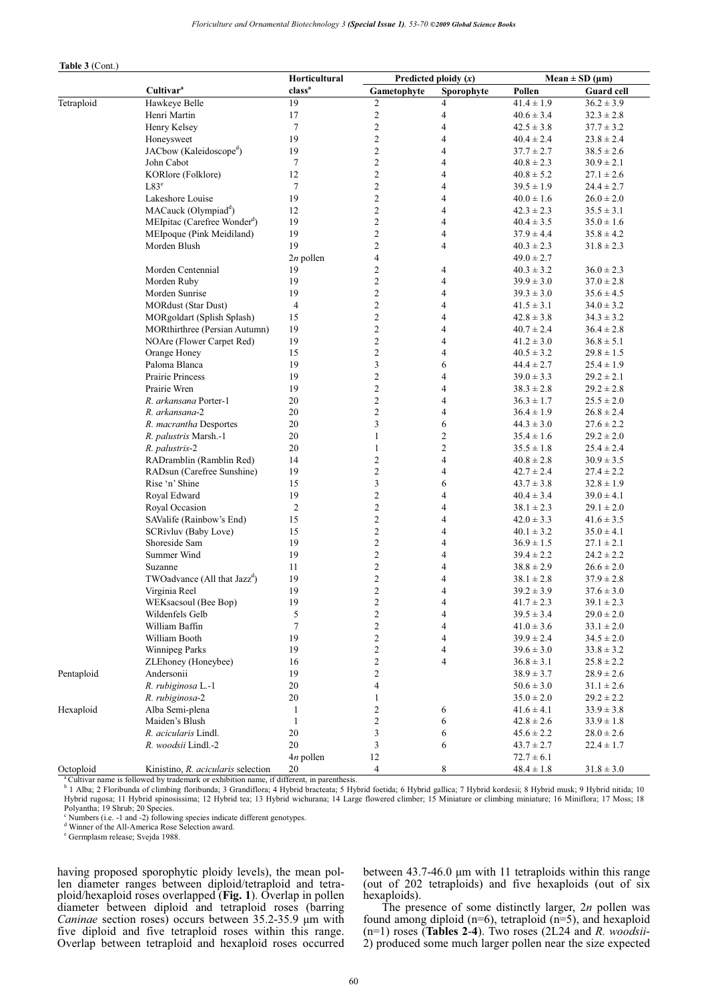| Table 3 (Cont.) |  |
|-----------------|--|
|-----------------|--|

|            |                                           | Horticultural            | Predicted ploidy $(x)$  |                         | $Mean \pm SD (µm)$ |                   |  |
|------------|-------------------------------------------|--------------------------|-------------------------|-------------------------|--------------------|-------------------|--|
|            | Cultivar <sup>a</sup>                     | class <sup>a</sup>       | Gametophyte             | Sporophyte              | Pollen             | <b>Guard cell</b> |  |
| Tetraploid | Hawkeye Belle                             | 19                       | $\overline{c}$          | 4                       | $41.4 \pm 1.9$     | $36.2 \pm 3.9$    |  |
|            | Henri Martin                              | 17                       | $\sqrt{2}$              | $\overline{4}$          | $40.6 \pm 3.4$     | $32.3 \pm 2.8$    |  |
|            | Henry Kelsey                              | $\tau$                   | $\boldsymbol{2}$        | 4                       | $42.5 \pm 3.8$     | $37.7 \pm 3.2$    |  |
|            | Honeysweet                                | 19                       | $\sqrt{2}$              | 4                       | $40.4 \pm 2.4$     | $23.8 \pm 2.4$    |  |
|            | JACbow (Kaleidoscope <sup>d</sup> )       | 19                       | $\sqrt{2}$              | 4                       | $37.7 \pm 2.7$     | $38.5 \pm 2.6$    |  |
|            | John Cabot                                | $\tau$                   | $\overline{2}$          | 4                       | $40.8 \pm 2.3$     | $30.9 \pm 2.1$    |  |
|            | KORlore (Folklore)                        | 12                       | $\overline{c}$          | 4                       | $40.8 \pm 5.2$     | $27.1 \pm 2.6$    |  |
|            | L83 <sup>e</sup>                          | $\tau$                   | $\sqrt{2}$              | 4                       | $39.5 \pm 1.9$     | $24.4 \pm 2.7$    |  |
|            | Lakeshore Louise                          | 19                       | $\boldsymbol{2}$        | 4                       | $40.0 \pm 1.6$     | $26.0 \pm 2.0$    |  |
|            | MACauck (Olympiad <sup>d</sup> )          | 12                       | $\overline{2}$          | 4                       | $42.3 \pm 2.3$     | $35.5 \pm 3.1$    |  |
|            | MEIpitac (Carefree Wonder <sup>d</sup> )  | 19                       | $\overline{c}$          | $\overline{4}$          | $40.4 \pm 3.5$     | $35.0 \pm 1.6$    |  |
|            | MEIpoque (Pink Meidiland)                 | 19                       | $\boldsymbol{2}$        | 4                       | $37.9 \pm 4.4$     | $35.8 \pm 4.2$    |  |
|            | Morden Blush                              | 19                       | $\overline{2}$          | 4                       | $40.3 \pm 2.3$     | $31.8 \pm 2.3$    |  |
|            |                                           | $2n$ pollen              | $\overline{\mathbf{4}}$ |                         | $49.0 \pm 2.7$     |                   |  |
|            | Morden Centennial                         | 19                       | $\overline{c}$          | 4                       | $40.3 \pm 3.2$     | $36.0 \pm 2.3$    |  |
|            | Morden Ruby                               | 19                       | $\overline{c}$          | 4                       | $39.9 \pm 3.0$     | $37.0 \pm 2.8$    |  |
|            | Morden Sunrise                            | 19                       | $\sqrt{2}$              | 4                       | $39.3 \pm 3.0$     | $35.6 \pm 4.5$    |  |
|            | <b>MORdust (Star Dust)</b>                | $\overline{\mathcal{L}}$ | $\boldsymbol{2}$        | 4                       | $41.5 \pm 3.1$     | $34.0 \pm 3.2$    |  |
|            | MORgoldart (Splish Splash)                | 15                       | $\overline{2}$          | 4                       | $42.8 \pm 3.8$     | $34.3 \pm 3.2$    |  |
|            | MORthirthree (Persian Autumn)             | 19                       | $\overline{c}$          | 4                       | $40.7 \pm 2.4$     | $36.4 \pm 2.8$    |  |
|            | NOAre (Flower Carpet Red)                 | 19                       | $\boldsymbol{2}$        | 4                       | $41.2 \pm 3.0$     | $36.8 \pm 5.1$    |  |
|            | Orange Honey                              | 15                       | $\sqrt{2}$              | 4                       | $40.5 \pm 3.2$     | $29.8 \pm 1.5$    |  |
|            | Paloma Blanca                             | 19                       | 3                       | 6                       | $44.4 \pm 2.7$     | $25.4 \pm 1.9$    |  |
|            | Prairie Princess                          | 19                       | $\overline{c}$          | 4                       | $39.0 \pm 3.3$     | $29.2 \pm 2.1$    |  |
|            | Prairie Wren                              | 19                       | $\overline{c}$          | 4                       | $38.3 \pm 2.8$     | $29.2 \pm 2.8$    |  |
|            | R. arkansana Porter-1                     | 20                       | $\sqrt{2}$              | $\overline{\mathbf{4}}$ | $36.3 \pm 1.7$     | $25.5 \pm 2.0$    |  |
|            | R. arkansana-2                            | 20                       | $\sqrt{2}$              | 4                       | $36.4 \pm 1.9$     | $26.8 \pm 2.4$    |  |
|            | R. macrantha Desportes                    | 20                       | 3                       | 6                       | $44.3 \pm 3.0$     | $27.6 \pm 2.2$    |  |
|            | R. palustris Marsh.-1                     | 20                       | $\mathbf{1}$            | $\overline{c}$          | $35.4 \pm 1.6$     | $29.2 \pm 2.0$    |  |
|            | R. palustris-2                            | 20                       | $\mathbf{1}$            | $\overline{c}$          | $35.5 \pm 1.8$     | $25.4 \pm 2.4$    |  |
|            | RADramblin (Ramblin Red)                  | 14                       | $\overline{c}$          | 4                       | $40.8 \pm 2.8$     | $30.9 \pm 3.5$    |  |
|            | RADsun (Carefree Sunshine)                | 19                       | $\sqrt{2}$              | 4                       | $42.7 \pm 2.4$     | $27.4 \pm 2.2$    |  |
|            | Rise 'n' Shine                            | 15                       | 3                       | 6                       | $43.7 \pm 3.8$     | $32.8 \pm 1.9$    |  |
|            | Royal Edward                              | 19                       | $\overline{c}$          | 4                       | $40.4 \pm 3.4$     | $39.0 \pm 4.1$    |  |
|            | Royal Occasion                            | $\sqrt{2}$               | $\overline{c}$          | 4                       | $38.1 \pm 2.3$     | $29.1 \pm 2.0$    |  |
|            | SAValife (Rainbow's End)                  | 15                       | $\overline{c}$          | 4                       | $42.0 \pm 3.3$     | $41.6 \pm 3.5$    |  |
|            | SCRivluv (Baby Love)                      | 15                       | $\overline{c}$          | 4                       | $40.1 \pm 3.2$     | $35.0 \pm 4.1$    |  |
|            | Shoreside Sam                             | 19                       | $\overline{c}$          | 4                       | $36.9 \pm 1.5$     | $27.1 \pm 2.1$    |  |
|            | Summer Wind                               | 19                       | $\overline{c}$          | 4                       | $39.4 \pm 2.2$     | $24.2 \pm 2.2$    |  |
|            | Suzanne                                   | 11                       | 2                       | 4                       | $38.8 \pm 2.9$     | $26.6 \pm 2.0$    |  |
|            | TWO advance (All that Jazz <sup>d</sup> ) | 19                       | $\sqrt{2}$              | 4                       | $38.1 \pm 2.8$     | $37.9 \pm 2.8$    |  |
|            | Virginia Reel                             | 19                       | $\sqrt{2}$              | 4                       | $39.2 \pm 3.9$     | $37.6 \pm 3.0$    |  |
|            | WEKsacsoul (Bee Bop)                      | 19                       | $\overline{\mathbf{c}}$ | $\overline{4}$          | $41.7 \pm 2.3$     | $39.1 \pm 2.3$    |  |
|            | Wildenfels Gelb                           | 5                        | $\sqrt{2}$              | 4                       | $39.5 \pm 3.4$     | $29.0 \pm 2.0$    |  |
|            | William Baffin                            | $\tau$                   | $\overline{c}$          | 4                       | $41.0 \pm 3.6$     | $33.1 \pm 2.0$    |  |
|            | William Booth                             | 19                       | 2                       | 4                       | $39.9 \pm 2.4$     | $34.5 \pm 2.0$    |  |
|            | Winnipeg Parks                            | 19                       | $\sqrt{2}$              | 4                       | $39.6 \pm 3.0$     | $33.8 \pm 3.2$    |  |
|            | ZLEhoney (Honeybee)                       | 16                       | $\overline{c}$          | 4                       | $36.8 \pm 3.1$     | $25.8 \pm 2.2$    |  |
| Pentaploid | Andersonii                                | 19                       | $\mathfrak{2}$          |                         | $38.9 \pm 3.7$     | $28.9 \pm 2.6$    |  |
|            | R. rubiginosa L.-1                        | 20                       | 4                       |                         | $50.6 \pm 3.0$     | $31.1 \pm 2.6$    |  |
|            | R. rubiginosa-2                           | 20                       | $\mathbf{1}$            |                         | $35.0 \pm 2.0$     | $29.2 \pm 2.2$    |  |
| Hexaploid  | Alba Semi-plena                           | $\mathbf{1}$             | $\mathfrak{2}$          | 6                       | $41.6 \pm 4.1$     | $33.9 \pm 3.8$    |  |
|            | Maiden's Blush                            | 1                        | $\sqrt{2}$              | 6                       | $42.8 \pm 2.6$     | $33.9 \pm 1.8$    |  |
|            | R. acicularis Lindl.                      | $20\,$                   | $\mathfrak{Z}$          | 6                       | $45.6 \pm 2.2$     | $28.0 \pm 2.6$    |  |
|            | R. woodsii Lindl.-2                       | 20                       | 3                       | 6                       | $43.7 \pm 2.7$     | $22.4 \pm 1.7$    |  |
|            |                                           | 4n pollen                | $12\,$                  |                         | $72.7 \pm 6.1$     |                   |  |
| Octoploid  | Kinistino, R. acicularis selection        | 20                       | $\overline{4}$          | 8                       | $48.4 \pm 1.8$     | $31.8 \pm 3.0$    |  |

<sup>a</sup> Cultivar name is followed by trademark or exhibition name, if different, in parenthesis.

<sup>b</sup> 1 Alba; 2 Floribunda of climbing floribunda; 3 Grandiflora; 4 Hybrid bracteata; 5 Hybrid foetida; 6 Hybrid gallica; 7 Hybrid kordesii; 8 Hybrid musk; 9 Hybrid nitida; 10<br>Hybrid rugosa; 11 Hybrid spinosissima; 12 Hybrid Polyantha; 19 Shrub; 20 Species.

c Numbers (i.e. -1 and -2) following species indicate different genotypes.

d Winner of the All-America Rose Selection award.

e Germplasm release; Svejda 1988.

having proposed sporophytic ploidy levels), the mean pollen diameter ranges between diploid/tetraploid and tetraploid/hexaploid roses overlapped (**Fig. 1**). Overlap in pollen diameter between diploid and tetraploid roses (barring *Caninae* section roses) occurs between 35.2-35.9 µm with five diploid and five tetraploid roses within this range. Overlap between tetraploid and hexaploid roses occurred

between  $43.7-46.0 \mu m$  with 11 tetraploids within this range (out of 202 tetraploids) and five hexaploids (out of six hexaploids).

The presence of some distinctly larger, 2*n* pollen was found among diploid (n=6), tetraploid (n=5), and hexaploid (n=1) roses (**Tables 2**-**4**). Two roses (2L24 and *R. woodsii*-2) produced some much larger pollen near the size expected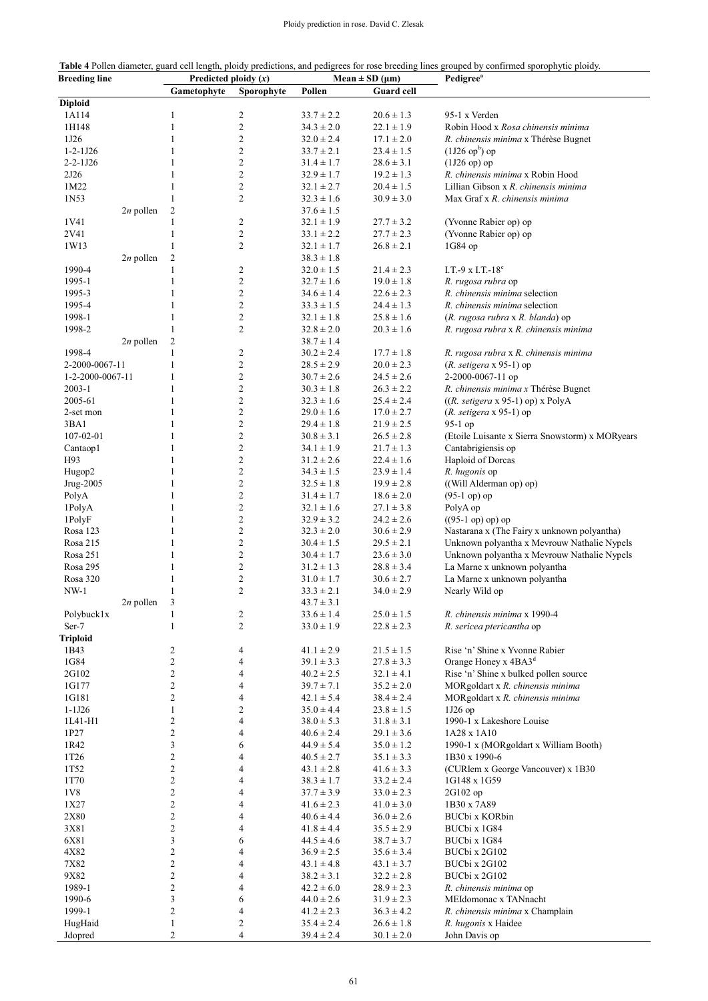**Table 4** Pollen diameter, guard cell length, ploidy predictions, and pedigrees for rose breeding lines grouped by confirmed sporophytic ploidy. **Breeding line Predicted ploidy (***x***) Mean**  $\pm$  **SD (** $\mu$ **m) Pedigree<sup>a</sup>** 

|                  |             | Gametophyte      | Sporophyte              | Pollen         | <b>Guard cell</b> |                                                 |
|------------------|-------------|------------------|-------------------------|----------------|-------------------|-------------------------------------------------|
| <b>Diploid</b>   |             |                  |                         |                |                   |                                                 |
| 1A114            |             | $\mathbf{1}$     | $\overline{c}$          | $33.7 \pm 2.2$ | $20.6 \pm 1.3$    | 95-1 x Verden                                   |
| 1H148            |             | 1                | $\overline{c}$          | $34.3 \pm 2.0$ | $22.1 \pm 1.9$    | Robin Hood x Rosa chinensis minima              |
| 1J26             |             | 1                | $\overline{c}$          | $32.0 \pm 2.4$ | $17.1 \pm 2.0$    | R. chinensis minima x Thérèse Bugnet            |
| $1 - 2 - 1J26$   |             | 1                | $\overline{c}$          | $33.7 \pm 2.1$ | $23.4 \pm 1.5$    | $(1J26 \text{ op}^b)$ op                        |
| $2 - 2 - 1J26$   |             | 1                | $\overline{c}$          | $31.4 \pm 1.7$ | $28.6 \pm 3.1$    | $(1J26$ op) op                                  |
| 2J26             |             | 1                | $\overline{c}$          | $32.9 \pm 1.7$ | $19.2 \pm 1.3$    | R. chinensis minima x Robin Hood                |
| 1M22             |             | 1                | $\overline{c}$          | $32.1 \pm 2.7$ | $20.4 \pm 1.5$    | Lillian Gibson x R. chinensis minima            |
| 1N53             |             | 1                | $\overline{c}$          | $32.3 \pm 1.6$ | $30.9 \pm 3.0$    | Max Graf x R. chinensis minima                  |
|                  | $2n$ pollen | 2                |                         | $37.6 \pm 1.5$ |                   |                                                 |
| 1V41             |             | 1                | $\overline{c}$          | $32.1 \pm 1.9$ | $27.7 \pm 3.2$    | (Yvonne Rabier op) op                           |
| 2V41             |             | 1                | $\mathfrak{2}$          | $33.1 \pm 2.2$ | $27.7 \pm 2.3$    | (Yvonne Rabier op) op                           |
| 1W13             |             | 1                | $\overline{c}$          |                |                   | 1G84 op                                         |
|                  |             |                  |                         | $32.1 \pm 1.7$ | $26.8 \pm 2.1$    |                                                 |
|                  | $2n$ pollen | 2                |                         | $38.3 \pm 1.8$ |                   |                                                 |
| 1990-4           |             | 1                | $\overline{c}$          | $32.0 \pm 1.5$ | $21.4 \pm 2.3$    | I.T.-9 x I.T.-18 $^{\circ}$                     |
| 1995-1           |             | 1                | $\mathfrak{2}$          | $32.7 \pm 1.6$ | $19.0 \pm 1.8$    | R. rugosa rubra op                              |
| 1995-3           |             | 1                | $\mathfrak{2}$          | $34.6 \pm 1.4$ | $22.6 \pm 2.3$    | R. chinensis minima selection                   |
| 1995-4           |             | 1                | $\mathfrak{2}$          | $33.3 \pm 1.5$ | $24.4 \pm 1.3$    | R. chinensis minima selection                   |
| 1998-1           |             | 1                | $\overline{\mathbf{c}}$ | $32.1 \pm 1.8$ | $25.8 \pm 1.6$    | (R. rugosa rubra x R. blanda) op                |
| 1998-2           |             | 1                | $\overline{c}$          | $32.8 \pm 2.0$ | $20.3 \pm 1.6$    | R. rugosa rubra x R. chinensis minima           |
|                  | $2n$ pollen | 2                |                         | $38.7 \pm 1.4$ |                   |                                                 |
| 1998-4           |             | 1                | $\overline{c}$          | $30.2 \pm 2.4$ | $17.7 \pm 1.8$    | R. rugosa rubra x R. chinensis minima           |
| 2-2000-0067-11   |             | 1                | $\mathfrak{2}$          | $28.5 \pm 2.9$ | $20.0 \pm 2.3$    | $(R. setigera \times 95-1)$ op                  |
| 1-2-2000-0067-11 |             | 1                | $\overline{c}$          | $30.7 \pm 2.6$ | $24.5 \pm 2.6$    | 2-2000-0067-11 op                               |
| $2003 - 1$       |             | 1                | $\overline{c}$          | $30.3 \pm 1.8$ | $26.3 \pm 2.2$    | R. chinensis minima x Thérèse Bugnet            |
| 2005-61          |             | 1                | $\overline{c}$          | $32.3 \pm 1.6$ | $25.4 \pm 2.4$    | $((R. setigera \times 95-1)$ op) x PolyA        |
| 2-set mon        |             | 1                | $\overline{c}$          | $29.0 \pm 1.6$ | $17.0 \pm 2.7$    | $(R. setigera \times 95-1)$ op                  |
| 3BA1             |             | 1                | $\overline{c}$          | $29.4 \pm 1.8$ | $21.9 \pm 2.5$    | 95-1 op                                         |
| 107-02-01        |             | 1                | $\overline{c}$          | $30.8 \pm 3.1$ | $26.5 \pm 2.8$    | (Etoile Luisante x Sierra Snowstorm) x MORyears |
| Cantaop1         |             | 1                | $\overline{c}$          | $34.1 \pm 1.9$ | $21.7 \pm 1.3$    | Cantabrigiensis op                              |
| H93              |             | 1                | $\overline{c}$          | $31.2 \pm 2.6$ | $22.4 \pm 1.6$    | Haploid of Dorcas                               |
|                  |             | 1                | $\overline{c}$          |                | $23.9 \pm 1.4$    |                                                 |
| Hugop2           |             |                  |                         | $34.3 \pm 1.5$ |                   | R. hugonis op                                   |
| Jrug-2005        |             | 1                | $\overline{c}$          | $32.5 \pm 1.8$ | $19.9 \pm 2.8$    | ((Will Alderman op) op)                         |
| PolyA            |             | 1                | $\mathfrak{2}$          | $31.4 \pm 1.7$ | $18.6 \pm 2.0$    | $(95-1$ op) op                                  |
| 1PolyA           |             | 1                | $\overline{c}$          | $32.1 \pm 1.6$ | $27.1 \pm 3.8$    | PolyA op                                        |
| 1PolyF           |             | 1                | $\mathfrak{2}$          | $32.9 \pm 3.2$ | $24.2 \pm 2.6$    | $((95-1 op) op) op$                             |
| Rosa 123         |             | 1                | $\mathfrak{2}$          | $32.3 \pm 2.0$ | $30.6 \pm 2.9$    | Nastarana x (The Fairy x unknown polyantha)     |
| Rosa 215         |             | 1                | $\mathfrak{2}$          | $30.4 \pm 1.5$ | $29.5 \pm 2.1$    | Unknown polyantha x Mevrouw Nathalie Nypels     |
| Rosa 251         |             | 1                | $\mathfrak{2}$          | $30.4 \pm 1.7$ | $23.6 \pm 3.0$    | Unknown polyantha x Mevrouw Nathalie Nypels     |
| Rosa 295         |             | 1                | $\overline{c}$          | $31.2 \pm 1.3$ | $28.8 \pm 3.4$    | La Marne x unknown polyantha                    |
| Rosa 320         |             | 1                | $\overline{c}$          | $31.0 \pm 1.7$ | $30.6 \pm 2.7$    | La Marne x unknown polyantha                    |
| NW-1             |             |                  | $\overline{c}$          | $33.3 \pm 2.1$ | $34.0 \pm 2.9$    | Nearly Wild op                                  |
|                  | $2n$ pollen | 3                |                         | $43.7 \pm 3.1$ |                   |                                                 |
| Polybuck1x       |             | 1                | $\overline{c}$          | $33.6 \pm 1.4$ | $25.0 \pm 1.5$    | R. chinensis minima x 1990-4                    |
| Ser-7            |             | 1                | $\overline{c}$          | $33.0 \pm 1.9$ | $22.8 \pm 2.3$    | R. sericea ptericantha op                       |
| <b>Triploid</b>  |             |                  |                         |                |                   |                                                 |
| 1B43             |             | 2                | 4                       | $41.1 \pm 2.9$ | $21.5\pm1.5$      | Rise 'n' Shine x Yvonne Rabier                  |
| 1G84             |             | 2                | 4                       | $39.1 \pm 3.3$ | $27.8 \pm 3.3$    | Orange Honey x 4BA3 <sup>d</sup>                |
| 2G102            |             | $\overline{c}$   | 4                       | $40.2 \pm 2.5$ | $32.1 \pm 4.1$    | Rise 'n' Shine x bulked pollen source           |
| 1G177            |             | 2                | 4                       | $39.7 \pm 7.1$ | $35.2 \pm 2.0$    | MORgoldart x R. chinensis minima                |
| 1G181            |             | 2                | 4                       | $42.1 \pm 5.4$ | $38.4 \pm 2.4$    | MORgoldart x R. chinensis minima                |
| $1 - 1J26$       |             | $\mathbf{1}$     | 2                       | $35.0 \pm 4.4$ | $23.8 \pm 1.5$    | $1J26$ op                                       |
|                  |             |                  | 4                       | $38.0 \pm 5.3$ |                   | 1990-1 x Lakeshore Louise                       |
| 1L41-H1          |             | 2                |                         |                | $31.8 \pm 3.1$    |                                                 |
| 1P27             |             | 2                | 4                       | $40.6 \pm 2.4$ | $29.1 \pm 3.6$    | 1A28 x 1A10                                     |
| 1R42             |             | 3                | 6                       | $44.9 \pm 5.4$ | $35.0 \pm 1.2$    | 1990-1 x (MORgoldart x William Booth)           |
| 1T26             |             | 2                | 4                       | $40.5 \pm 2.7$ | $35.1 \pm 3.3$    | 1B30 x 1990-6                                   |
| 1T52             |             | 2                | 4                       | $43.1 \pm 2.8$ | $41.6 \pm 3.3$    | (CURlem x George Vancouver) x 1B30              |
| 1T70             |             | $\overline{c}$   | 4                       | $38.3\pm1.7$   | $33.2 \pm 2.4$    | 1G148 x 1G59                                    |
| 1V8              |             | 2                | 4                       | $37.7 \pm 3.9$ | $33.0 \pm 2.3$    | 2G102 op                                        |
| 1X27             |             | 2                | 4                       | $41.6 \pm 2.3$ | $41.0 \pm 3.0$    | 1B30 x 7A89                                     |
| 2X80             |             | $\boldsymbol{2}$ | 4                       | $40.6 \pm 4.4$ | $36.0 \pm 2.6$    | BUCbi x KORbin                                  |
| 3X81             |             | 2                | 4                       | $41.8 \pm 4.4$ | $35.5 \pm 2.9$    | BUCbi x 1G84                                    |
| 6X81             |             | 3                | 6                       | $44.5 \pm 4.6$ | $38.7 \pm 3.7$    | BUCbi x 1G84                                    |
| 4X82             |             | $\boldsymbol{2}$ | 4                       | $36.9 \pm 2.5$ | $35.6 \pm 3.4$    | BUCbi x 2G102                                   |
| 7X82             |             | 2                | 4                       | $43.1 \pm 4.8$ | $43.1 \pm 3.7$    | BUCbi x 2G102                                   |
| 9X82             |             | 2                | 4                       | $38.2 \pm 3.1$ | $32.2 \pm 2.8$    | BUCbi x 2G102                                   |
| 1989-1           |             | $\overline{c}$   | 4                       | $42.2 \pm 6.0$ | $28.9 \pm 2.3$    | R. chinensis minima op                          |
| 1990-6           |             | 3                | 6                       | $44.0 \pm 2.6$ | $31.9 \pm 2.3$    | MEIdomonac x TANnacht                           |
| 1999-1           |             | 2                | 4                       | $41.2 \pm 2.3$ | $36.3 \pm 4.2$    | R. chinensis minima x Champlain                 |
| HugHaid          |             | $\mathbf{1}$     | 2                       | $35.4 \pm 2.4$ | $26.6 \pm 1.8$    | R. hugonis x Haidee                             |
| Jdopred          |             | 2                | 4                       | $39.4 \pm 2.4$ | $30.1 \pm 2.0$    | John Davis op                                   |
|                  |             |                  |                         |                |                   |                                                 |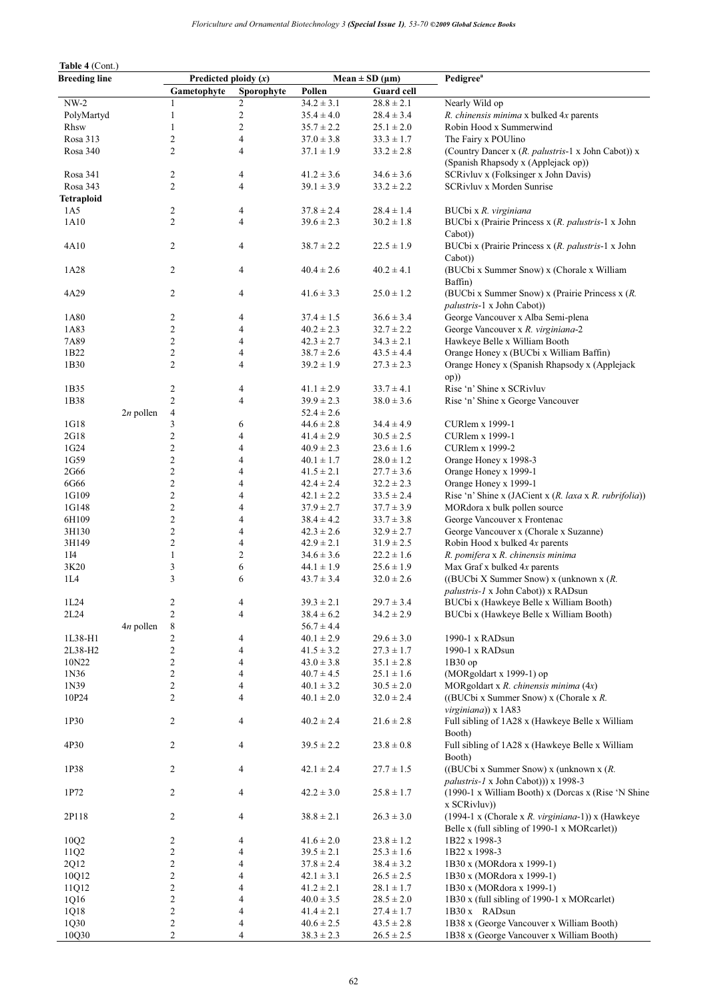| Table 4 (Cont.)      |             |                         |                          |                |                          |                                                                                                    |  |  |
|----------------------|-------------|-------------------------|--------------------------|----------------|--------------------------|----------------------------------------------------------------------------------------------------|--|--|
| <b>Breeding line</b> |             |                         | Predicted ploidy $(x)$   |                | Mean $\pm$ SD ( $\mu$ m) | Pedigree <sup>a</sup>                                                                              |  |  |
|                      |             | Gametophyte             | Sporophyte               | Pollen         | Guard cell               |                                                                                                    |  |  |
| $NW-2$               |             | 1                       | 2                        | $34.2 \pm 3.1$ | $28.8 \pm 2.1$           | Nearly Wild op                                                                                     |  |  |
| PolyMartyd           |             | $\mathbf{1}$            | $\boldsymbol{2}$         | $35.4 \pm 4.0$ | $28.4 \pm 3.4$           | R. chinensis minima x bulked 4x parents                                                            |  |  |
| Rhsw                 |             | $\mathbf{1}$            | $\overline{c}$           | $35.7 \pm 2.2$ | $25.1 \pm 2.0$           | Robin Hood x Summerwind                                                                            |  |  |
| Rosa 313             |             | 2                       | 4                        | $37.0 \pm 3.8$ | $33.3 \pm 1.7$           | The Fairy x POUlino                                                                                |  |  |
| Rosa 340             |             | 2                       | 4                        | $37.1 \pm 1.9$ | $33.2 \pm 2.8$           | (Country Dancer x (R. palustris-1 x John Cabot)) x<br>(Spanish Rhapsody x (Applejack op))          |  |  |
| Rosa 341             |             | 2                       | 4                        | $41.2 \pm 3.6$ | $34.6 \pm 3.6$           | SCRivluv x (Folksinger x John Davis)                                                               |  |  |
| Rosa 343             |             | $\overline{c}$          | $\overline{4}$           | $39.1 \pm 3.9$ | $33.2 \pm 2.2$           | SCRivluv x Morden Sunrise                                                                          |  |  |
| <b>Tetraploid</b>    |             |                         |                          |                |                          |                                                                                                    |  |  |
| 1A5                  |             | 2                       | 4                        | $37.8 \pm 2.4$ | $28.4 \pm 1.4$           | BUCbi x R. virginiana                                                                              |  |  |
| 1A10                 |             | 2                       | $\overline{4}$           | $39.6 \pm 2.3$ | $30.2 \pm 1.8$           | BUCbi x (Prairie Princess x (R. palustris-1 x John<br>Cabot))                                      |  |  |
| 4A10                 |             | $\overline{c}$          | 4                        | $38.7 \pm 2.2$ | $22.5 \pm 1.9$           | BUCbi x (Prairie Princess x (R. palustris-1 x John<br>Cabot))                                      |  |  |
| 1A28                 |             | 2                       | 4                        | $40.4 \pm 2.6$ | $40.2 \pm 4.1$           | (BUCbi x Summer Snow) x (Chorale x William<br>Baffin)                                              |  |  |
| 4A29                 |             | $\overline{c}$          | 4                        | $41.6 \pm 3.3$ | $25.0 \pm 1.2$           | (BUCbi x Summer Snow) x (Prairie Princess x (R.                                                    |  |  |
|                      |             |                         |                          |                |                          | palustris-1 x John Cabot))                                                                         |  |  |
| 1A80                 |             | 2                       | 4                        | $37.4 \pm 1.5$ | $36.6 \pm 3.4$           | George Vancouver x Alba Semi-plena                                                                 |  |  |
| 1A83                 |             | $\overline{c}$          | 4                        | $40.2 \pm 2.3$ | $32.7 \pm 2.2$           | George Vancouver x R. virginiana-2                                                                 |  |  |
| 7A89                 |             | 2                       | 4                        | $42.3 \pm 2.7$ | $34.3 \pm 2.1$           | Hawkeye Belle x William Booth                                                                      |  |  |
| 1B22                 |             | 2                       | 4                        | $38.7 \pm 2.6$ | $43.5 \pm 4.4$           | Orange Honey x (BUCbi x William Baffin)                                                            |  |  |
| 1B30                 |             | 2                       | 4                        | $39.2 \pm 1.9$ | $27.3 \pm 2.3$           | Orange Honey x (Spanish Rhapsody x (Applejack<br>op))                                              |  |  |
| 1B35                 |             | 2                       | 4                        | $41.1 \pm 2.9$ | $33.7 \pm 4.1$           | Rise 'n' Shine x SCRivluv                                                                          |  |  |
| 1B38                 |             | $\overline{c}$          | $\overline{4}$           | $39.9 \pm 2.3$ | $38.0 \pm 3.6$           | Rise 'n' Shine x George Vancouver                                                                  |  |  |
|                      | $2n$ pollen | 4                       |                          | $52.4 \pm 2.6$ |                          |                                                                                                    |  |  |
| 1G18                 |             | 3                       | 6                        | $44.6 \pm 2.8$ | $34.4 \pm 4.9$           | CURlem x 1999-1                                                                                    |  |  |
| 2G18                 |             | 2                       | 4                        | $41.4 \pm 2.9$ | $30.5 \pm 2.5$           | <b>CURlem x 1999-1</b>                                                                             |  |  |
| 1G24                 |             | 2                       | 4                        | $40.9 \pm 2.3$ | $23.6 \pm 1.6$           | <b>CURlem x 1999-2</b>                                                                             |  |  |
| 1G59                 |             | 2                       | 4                        | $40.1 \pm 1.7$ | $28.0 \pm 1.2$           | Orange Honey x 1998-3                                                                              |  |  |
| 2G66                 |             | 2                       | 4                        | $41.5 \pm 2.1$ | $27.7 \pm 3.6$           | Orange Honey x 1999-1                                                                              |  |  |
| 6G66                 |             | 2                       | 4                        | $42.4 \pm 2.4$ | $32.2 \pm 2.3$           | Orange Honey x 1999-1                                                                              |  |  |
| 1G109                |             | 2                       | 4                        | $42.1 \pm 2.2$ | $33.5 \pm 2.4$           | Rise 'n' Shine x (JACient x (R. laxa x R. rubrifolia))                                             |  |  |
| 1G148                |             | 2                       | 4                        | $37.9 \pm 2.7$ | $37.7 \pm 3.9$           | MORdora x bulk pollen source                                                                       |  |  |
| 6H109                |             | $\overline{c}$          | 4                        | $38.4 \pm 4.2$ | $33.7 \pm 3.8$           | George Vancouver x Frontenac                                                                       |  |  |
| 3H130                |             | 2                       | 4                        | $42.3 \pm 2.6$ | $32.9 \pm 2.7$           | George Vancouver x (Chorale x Suzanne)                                                             |  |  |
| 3H149                |             | 2                       | 4                        | $42.9 \pm 2.1$ | $31.9 \pm 2.5$           | Robin Hood x bulked 4x parents                                                                     |  |  |
| 1 I 4                |             | $\mathbf{1}$            | $\overline{c}$           | $34.6 \pm 3.6$ | $22.2 \pm 1.6$           | R. pomifera x R. chinensis minima                                                                  |  |  |
| 3K20                 |             | 3                       | 6                        | $44.1 \pm 1.9$ | $25.6 \pm 1.9$           | Max Graf x bulked 4x parents                                                                       |  |  |
| 1L4                  |             | 3                       | 6                        | $43.7 \pm 3.4$ | $32.0 \pm 2.6$           | ((BUCbi X Summer Snow) x (unknown x $(R)$ .                                                        |  |  |
|                      |             |                         |                          |                |                          | <i>palustris-1</i> x John Cabot)) x RADsun                                                         |  |  |
| 1L24                 |             | $\overline{c}$          | 4                        | $39.3 \pm 2.1$ | $29.7 \pm 3.4$           | BUCbi x (Hawkeye Belle x William Booth)                                                            |  |  |
| 2L24                 |             | $\overline{c}$          | $\overline{4}$           | $38.4 \pm 6.2$ | $34.2 \pm 2.9$           | BUCbi x (Hawkeye Belle x William Booth)                                                            |  |  |
|                      | $4n$ pollen | $\,8\,$                 |                          | $56.7 \pm 4.4$ |                          |                                                                                                    |  |  |
| 1L38-H1              |             | 2                       | 4                        | $40.1 \pm 2.9$ | $29.6 \pm 3.0$           | 1990-1 x RADsun                                                                                    |  |  |
| 2L38-H2              |             | $\boldsymbol{2}$        | 4                        | $41.5 \pm 3.2$ | $27.3 \pm 1.7$           | 1990-1 x RADsun                                                                                    |  |  |
| 10N22                |             | $\overline{c}$          | 4                        | $43.0 \pm 3.8$ | $35.1 \pm 2.8$           | 1B30op                                                                                             |  |  |
| 1N36                 |             | 2                       | 4                        | $40.7 \pm 4.5$ | $25.1 \pm 1.6$           | (MORgoldart x 1999-1) op                                                                           |  |  |
| 1N39                 |             | 2                       | $\overline{4}$           | $40.1 \pm 3.2$ | $30.5 \pm 2.0$           | MORgoldart x R. chinensis minima $(4x)$                                                            |  |  |
| 10P24                |             | $\overline{c}$          | 4                        | $40.1 \pm 2.0$ | $32.0 \pm 2.4$           | ((BUCbi x Summer Snow) x (Chorale x $R$ .<br>virginiana)) x 1A83                                   |  |  |
| 1P30                 |             | $\overline{c}$          | 4                        | $40.2 \pm 2.4$ | $21.6 \pm 2.8$           | Full sibling of 1A28 x (Hawkeye Belle x William<br>Booth)                                          |  |  |
| 4P30                 |             | 2                       | 4                        | $39.5 \pm 2.2$ | $23.8\pm0.8$             | Full sibling of 1A28 x (Hawkeye Belle x William<br>Booth)                                          |  |  |
| 1P38                 |             | $\overline{c}$          | $\overline{\mathcal{A}}$ | $42.1 \pm 2.4$ | $27.7 \pm 1.5$           | ((BUCbi x Summer Snow) x (unknown x $(R$ .<br>palustris-1 x John Cabot))) x 1998-3                 |  |  |
| 1P72                 |             | 2                       | 4                        | $42.2 \pm 3.0$ | $25.8 \pm 1.7$           | (1990-1 x William Booth) x (Dorcas x (Rise 'N Shine)<br>x SCRivluv)                                |  |  |
| 2P118                |             | 2                       | 4                        | $38.8 \pm 2.1$ | $26.3 \pm 3.0$           | (1994-1 x (Chorale x R. virginiana-1)) x (Hawkeye<br>Belle x (full sibling of 1990-1 x MORcarlet)) |  |  |
| 10Q2                 |             | $\overline{\mathbf{c}}$ | 4                        | $41.6 \pm 2.0$ | $23.8 \pm 1.2$           | 1B22 x 1998-3                                                                                      |  |  |
| 11Q2                 |             | $\boldsymbol{2}$        | 4                        | $39.5 \pm 2.1$ | $25.3 \pm 1.6$           | 1B22 x 1998-3                                                                                      |  |  |
| 2Q12                 |             | $\boldsymbol{2}$        | $\overline{4}$           | $37.8 \pm 2.4$ | $38.4 \pm 3.2$           | 1B30 x (MORdora x 1999-1)                                                                          |  |  |
| 10Q12                |             | $\boldsymbol{2}$        | 4                        | $42.1 \pm 3.1$ | $26.5 \pm 2.5$           | 1B30 x (MORdora x 1999-1)                                                                          |  |  |
| 11Q12                |             | $\overline{\mathbf{c}}$ | 4                        | $41.2 \pm 2.1$ | $28.1 \pm 1.7$           | 1B30 x (MORdora x 1999-1)                                                                          |  |  |
| 1Q16                 |             | $\boldsymbol{2}$        | $\overline{4}$           | $40.0 \pm 3.5$ | $28.5 \pm 2.0$           | 1B30 x (full sibling of 1990-1 x MORcarlet)                                                        |  |  |
| 1Q18                 |             | $\boldsymbol{2}$        | 4                        | $41.4 \pm 2.1$ | $27.4 \pm 1.7$           | 1B30 x RADsun                                                                                      |  |  |
| 1Q30                 |             | $\overline{\mathbf{c}}$ | 4                        | $40.6 \pm 2.5$ | $43.5 \pm 2.8$           | 1B38 x (George Vancouver x William Booth)                                                          |  |  |
| 10Q30                |             | $\overline{c}$          | $\overline{4}$           | $38.3 \pm 2.3$ | $26.5 \pm 2.5$           | 1B38 x (George Vancouver x William Booth)                                                          |  |  |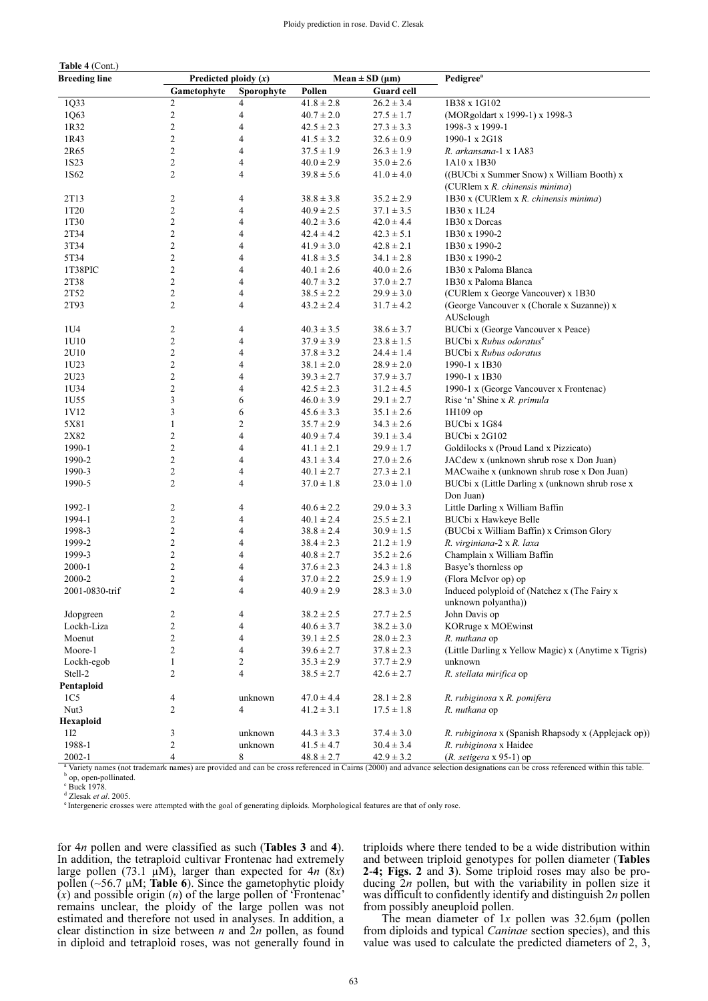| $1$ whit $\sqrt{$ Colin<br><b>Breeding line</b> | Predicted ploidy $(x)$ |                |                | Mean $\pm$ SD ( $\mu$ m) | Pedigree <sup>a</sup>                                |  |
|-------------------------------------------------|------------------------|----------------|----------------|--------------------------|------------------------------------------------------|--|
|                                                 | Gametophyte            | Sporophyte     | Pollen         | <b>Guard cell</b>        |                                                      |  |
| 1Q33                                            | 2                      | 4              | $41.8 \pm 2.8$ | $26.2 \pm 3.4$           | 1B38 x 1G102                                         |  |
| 1Q63                                            | $\overline{c}$         | 4              | $40.7 \pm 2.0$ | $27.5 \pm 1.7$           | (MORgoldart x 1999-1) x 1998-3                       |  |
| 1R32                                            | 2                      | 4              | $42.5 \pm 2.3$ | $27.3 \pm 3.3$           | 1998-3 x 1999-1                                      |  |
| 1R43                                            | 2                      | 4              | $41.5 \pm 3.2$ | $32.6 \pm 0.9$           | 1990-1 x 2G18                                        |  |
| 2R65                                            | 2                      | 4              | $37.5 \pm 1.9$ | $26.3 \pm 1.9$           | R. arkansana-1 x 1A83                                |  |
| 1S <sub>2</sub> 3                               | 2                      | 4              | $40.0 \pm 2.9$ | $35.0 \pm 2.6$           | 1A10 x 1B30                                          |  |
| 1S62                                            | 2                      | 4              | $39.8 \pm 5.6$ | $41.0 \pm 4.0$           | ((BUCbi x Summer Snow) x William Booth) x            |  |
|                                                 |                        |                |                |                          | (CURlem x R. chinensis minima)                       |  |
| 2T13                                            | 2                      | 4              | $38.8 \pm 3.8$ | $35.2 \pm 2.9$           | 1B30 x (CURlem x R. chinensis minima)                |  |
| 1T <sub>20</sub>                                | 2                      | 4              | $40.9 \pm 2.5$ | $37.1 \pm 3.5$           | 1B30 x 1L24                                          |  |
| 1T30                                            | 2                      | 4              | $40.2 \pm 3.6$ | $42.0 \pm 4.4$           | 1B30 x Dorcas                                        |  |
| 2T34                                            | 2                      | 4              | $42.4 \pm 4.2$ | $42.3 \pm 5.1$           | 1B30 x 1990-2                                        |  |
| 3T34                                            | 2                      | 4              | $41.9 \pm 3.0$ | $42.8 \pm 2.1$           | 1B30 x 1990-2                                        |  |
| 5T34                                            | 2                      | 4              | $41.8 \pm 3.5$ | $34.1 \pm 2.8$           | 1B30 x 1990-2                                        |  |
| 1T38PIC                                         | 2                      | 4              | $40.1 \pm 2.6$ | $40.0 \pm 2.6$           | 1B30 x Paloma Blanca                                 |  |
| 2T38                                            | 2                      | 4              | $40.7 \pm 3.2$ | $37.0 \pm 2.7$           | 1B30 x Paloma Blanca                                 |  |
| 2T52                                            | 2                      | 4              | $38.5 \pm 2.2$ | $29.9 \pm 3.0$           | (CURlem x George Vancouver) x 1B30                   |  |
| 2T93                                            | 2                      | 4              | $43.2 \pm 2.4$ | $31.7 \pm 4.2$           | (George Vancouver x (Chorale x Suzanne)) x           |  |
|                                                 |                        |                |                |                          | AUSclough                                            |  |
| 1U4                                             | 2                      | 4              | $40.3 \pm 3.5$ | $38.6 \pm 3.7$           | BUCbi x (George Vancouver x Peace)                   |  |
| 1U10                                            | $\overline{c}$         | 4              | $37.9 \pm 3.9$ | $23.8 \pm 1.5$           | BUCbi x Rubus odoratus <sup>e</sup>                  |  |
| 2U10                                            | 2                      | 4              | $37.8 \pm 3.2$ | $24.4 \pm 1.4$           | <b>BUCbi x Rubus odoratus</b>                        |  |
| 1U23                                            | 2                      | 4              | $38.1 \pm 2.0$ | $28.9 \pm 2.0$           | 1990-1 x 1B30                                        |  |
| 2U23                                            | 2                      | 4              | $39.3 \pm 2.7$ | $37.9 \pm 3.7$           | 1990-1 x 1B30                                        |  |
| 1U34                                            | 2                      | 4              | $42.5 \pm 2.3$ | $31.2 \pm 4.5$           | 1990-1 x (George Vancouver x Frontenac)              |  |
| 1U55                                            | 3                      | 6              | $46.0 \pm 3.9$ | $29.1 \pm 2.7$           | Rise 'n' Shine x R. primula                          |  |
|                                                 | 3                      | 6              | $45.6 \pm 3.3$ |                          |                                                      |  |
| 1V12                                            | 1                      | 2              |                | $35.1 \pm 2.6$           | 1H109 op<br>BUCbi x 1G84                             |  |
| 5X81                                            |                        | $\overline{4}$ | $35.7 \pm 2.9$ | $34.3 \pm 2.6$           |                                                      |  |
| 2X82                                            | 2                      |                | $40.9 \pm 7.4$ | $39.1 \pm 3.4$           | BUCbi x 2G102                                        |  |
| 1990-1                                          | 2                      | 4              | $41.1 \pm 2.1$ | $29.9 \pm 1.7$           | Goldilocks x (Proud Land x Pizzicato)                |  |
| 1990-2                                          | 2                      | 4              | $43.1 \pm 3.4$ | $27.0 \pm 2.6$           | JACdew x (unknown shrub rose x Don Juan)             |  |
| 1990-3                                          | 2                      | 4              | $40.1 \pm 2.7$ | $27.3 \pm 2.1$           | MACwaihe x (unknown shrub rose x Don Juan)           |  |
| 1990-5                                          | 2                      | 4              | $37.0 \pm 1.8$ | $23.0 \pm 1.0$           | BUCbi x (Little Darling x (unknown shrub rose x      |  |
|                                                 |                        |                |                |                          | Don Juan)                                            |  |
| 1992-1                                          | 2                      | 4              | $40.6 \pm 2.2$ | $29.0 \pm 3.3$           | Little Darling x William Baffin                      |  |
| 1994-1                                          | 2                      | 4              | $40.1 \pm 2.4$ | $25.5 \pm 2.1$           | BUCbi x Hawkeye Belle                                |  |
| 1998-3                                          | 2                      | 4              | $38.8 \pm 2.4$ | $30.9 \pm 1.5$           | (BUCbi x William Baffin) x Crimson Glory             |  |
| 1999-2                                          | 2                      | 4              | $38.4 \pm 2.3$ | $21.2 \pm 1.9$           | R. virginiana-2 x R. laxa                            |  |
| 1999-3                                          | 2                      | 4              | $40.8 \pm 2.7$ | $35.2 \pm 2.6$           | Champlain x William Baffin                           |  |
| 2000-1                                          | 2                      | 4              | $37.6 \pm 2.3$ | $24.3 \pm 1.8$           | Basye's thornless op                                 |  |
| 2000-2                                          | 2                      | 4              | $37.0 \pm 2.2$ | $25.9 \pm 1.9$           | (Flora McIvor op) op                                 |  |
| 2001-0830-trif                                  | 2                      | 4              | $40.9 \pm 2.9$ | $28.3 \pm 3.0$           | Induced polyploid of (Natchez x (The Fairy x         |  |
|                                                 |                        |                |                |                          | unknown polyantha))                                  |  |
| Jdopgreen                                       | 2                      | 4              | $38.2 \pm 2.5$ | $27.7 \pm 2.5$           | John Davis op                                        |  |
| Lockh-Liza                                      | 2                      | 4              | $40.6 \pm 3.7$ | $38.2 \pm 3.0$           | KORruge x MOEwinst                                   |  |
| Moenut                                          | 2                      | 4              | $39.1 \pm 2.5$ | $28.0 \pm 2.3$           | R. nutkana op                                        |  |
| Moore-1                                         | 2                      | 4              | $39.6 \pm 2.7$ | $37.8 \pm 2.3$           | (Little Darling x Yellow Magic) x (Anytime x Tigris) |  |
| Lockh-egob                                      | $\mathbf{1}$           | $\mathbf{2}$   | $35.3 \pm 2.9$ | $37.7 \pm 2.9$           | unknown                                              |  |
| Stell-2                                         | 2                      | 4              | $38.5 \pm 2.7$ | $42.6 \pm 2.7$           | R. stellata mirifica op                              |  |
| Pentaploid                                      |                        |                |                |                          |                                                      |  |
| 1C <sub>5</sub>                                 | 4                      | unknown        | $47.0 \pm 4.4$ | $28.1 \pm 2.8$           | R. rubiginosa x R. pomifera                          |  |
| Nut3                                            | 2                      | 4              | $41.2 \pm 3.1$ | $17.5 \pm 1.8$           | R. nutkana op                                        |  |
| Hexaploid                                       |                        |                |                |                          |                                                      |  |
| 1 <sub>12</sub>                                 | 3                      | unknown        | $44.3 \pm 3.3$ | $37.4 \pm 3.0$           | R. rubiginosa x (Spanish Rhapsody x (Applejack op))  |  |
| 1988-1                                          |                        |                |                |                          |                                                      |  |
|                                                 | 2                      | unknown        | $41.5 \pm 4.7$ | $30.4 \pm 3.4$           | R. rubiginosa x Haidee                               |  |

<sup>a</sup> Variety names (not trademark names) are provided and can be cross referenced in Cairns (2000) and advance selection designations can be cross referenced within this table.<br><sup>b</sup> on enen pellinated <sup>b</sup> op, open-pollinated.

c Buck 1978.

 $Table 4 (Cont.)$ 

 $d$  Zlesak et al. 2005.

<sup>e</sup> Intergeneric crosses were attempted with the goal of generating diploids. Morphological features are that of only rose.

for 4*n* pollen and were classified as such (**Tables 3** and **4**). In addition, the tetraploid cultivar Frontenac had extremely large pollen (73.1  $\mu$ M), larger than expected for 4*n* (8*x*) pollen (~56.7 μM; **Table 6**). Since the gametophytic ploidy (*x*) and possible origin (*n*) of the large pollen of 'Frontenac' remains unclear, the ploidy of the large pollen was not estimated and therefore not used in analyses. In addition, a clear distinction in size between *n* and  $2n$  pollen, as found in diploid and tetraploid roses, was not generally found in

triploids where there tended to be a wide distribution within and between triploid genotypes for pollen diameter (**Tables 2**-**4; Figs. 2** and **3**). Some triploid roses may also be producing 2*n* pollen, but with the variability in pollen size it was difficult to confidently identify and distinguish 2*n* pollen from possibly aneuploid pollen.

The mean diameter of  $1x$  pollen was  $32.6\mu$ m (pollen from diploids and typical *Caninae* section species), and this value was used to calculate the predicted diameters of 2, 3,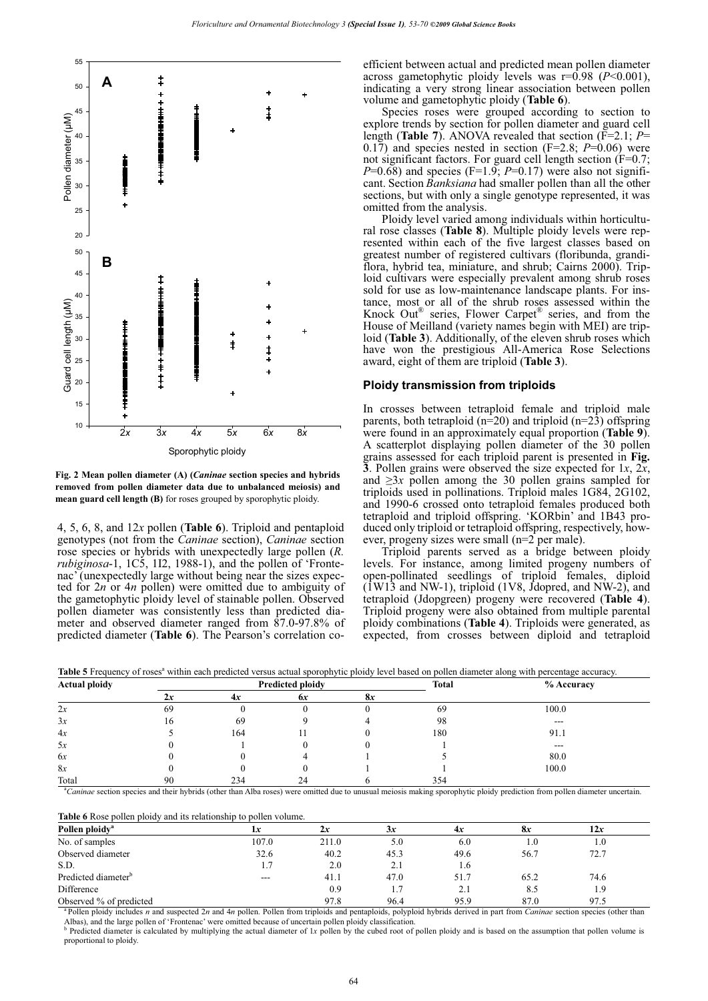

**Fig. 2 Mean pollen diameter (A) (***Caninae* **section species and hybrids removed from pollen diameter data due to unbalanced meiosis) and mean guard cell length (B)** for roses grouped by sporophytic ploidy.

4, 5, 6, 8, and 12*x* pollen (**Table 6**). Triploid and pentaploid genotypes (not from the *Caninae* section), *Caninae* section rose species or hybrids with unexpectedly large pollen (*R. rubiginosa*-1, 1C5, 1I2, 1988-1), and the pollen of 'Frontenac' (unexpectedly large without being near the sizes expected for 2*n* or 4*n* pollen) were omitted due to ambiguity of the gametophytic ploidy level of stainable pollen. Observed pollen diameter was consistently less than predicted diameter and observed diameter ranged from 87.0-97.8% of predicted diameter (**Table 6**). The Pearson's correlation coefficient between actual and predicted mean pollen diameter across gametophytic ploidy levels was  $r=0.98$  ( $P<0.001$ ), indicating a very strong linear association between pollen volume and gametophytic ploidy (**Table 6**).

Species roses were grouped according to section to explore trends by section for pollen diameter and guard cell length (**Table 7**). ANOVA revealed that section (F=2.1; *P*= 0.17) and species nested in section (F=2.8; *P*=0.06) were not significant factors. For guard cell length section (F=0.7;  $P=0.68$ ) and species (F=1.9;  $P=0.17$ ) were also not significant. Section *Banksiana* had smaller pollen than all the other sections, but with only a single genotype represented, it was omitted from the analysis.

Ploidy level varied among individuals within horticultural rose classes (**Table 8**). Multiple ploidy levels were represented within each of the five largest classes based on greatest number of registered cultivars (floribunda, grandiflora, hybrid tea, miniature, and shrub; Cairns 2000). Triploid cultivars were especially prevalent among shrub roses sold for use as low-maintenance landscape plants. For instance, most or all of the shrub roses assessed within the Knock Out® series, Flower Carpet® series, and from the House of Meilland (variety names begin with MEI) are triploid (**Table 3**). Additionally, of the eleven shrub roses which have won the prestigious All-America Rose Selections award, eight of them are triploid (**Table 3**).

#### **Ploidy transmission from triploids**

In crosses between tetraploid female and triploid male parents, both tetraploid ( $n=20$ ) and triploid ( $n=23$ ) offspring were found in an approximately equal proportion (**Table 9**). A scatterplot displaying pollen diameter of the 30 pollen grains assessed for each triploid parent is presented in **Fig. 3**. Pollen grains were observed the size expected for 1*x*, 2*x*, and  $\geq 3x$  pollen among the 30 pollen grains sampled for triploids used in pollinations. Triploid males 1G84, 2G102, and 1990-6 crossed onto tetraploid females produced both tetraploid and triploid offspring. 'KORbin' and 1B43 produced only triploid or tetraploid offspring, respectively, however, progeny sizes were small (n=2 per male).

Triploid parents served as a bridge between ploidy levels. For instance, among limited progeny numbers of open-pollinated seedlings of triploid females, diploid  $(1W13$  and NW-1), triploid (1V8, Jdopred, and NW-2), and tetraploid (Jdopgreen) progeny were recovered (**Table 4**). Triploid progeny were also obtained from multiple parental ploidy combinations (**Table 4**). Triploids were generated, as expected, from crosses between diploid and tetraploid

| <b>Actual ploidy</b> |    |     | <b>Predicted ploidy</b> |    | <b>Total</b> | $%$ Accuracy |
|----------------------|----|-----|-------------------------|----|--------------|--------------|
|                      | 2x | 4x  | 6x                      | 8x |              |              |
| 2x                   | 69 |     |                         |    | 69           | 100.0        |
| 3x                   | 16 | 69  |                         |    | 98           | $---$        |
| 4x                   |    | 164 |                         |    | 180          | 91.1         |
| 5x                   |    |     |                         |    |              | $---$        |
| 6x                   |    |     |                         |    |              | 80.0         |
| 8x                   |    |     |                         |    |              | 100.0        |
| Total                | 90 | 234 | 24                      |    | 354          |              |

Table 5 Frequency of roses<sup>a</sup> within each predicted versus actual sporophytic ploidy level based on pollen diameter along with percentage accuracy.

<sup>a</sup>Caninae section species and their hybrids (other than Alba roses) were omitted due to unusual meiosis making sporophytic ploidy prediction from pollen diameter uncertain.

**Table 6** Rose pollen ploidy and its relationship to pollen volume. **Pollen ploidy<sup>a</sup>**

| Pollen ploidy <sup>a</sup>      | 1x      |       | 3x   | 4x   | 8x   | 12x  |  |
|---------------------------------|---------|-------|------|------|------|------|--|
| No. of samples                  | 107.0   | 211.0 | 5.0  | 6.0  | 1.0  | 1.0  |  |
| Observed diameter               | 32.6    | 40.2  | 45.3 | 49.6 | 56.7 | 72.7 |  |
| S.D.                            | 1.7     | 2.0   | 2.1  | 1.6  |      |      |  |
| Predicted diameter <sup>b</sup> | $- - -$ | 41.1  | 47.0 | 51.7 | 65.2 | 74.6 |  |
| Difference                      |         | 0.9   |      | 2.1  | 8.5  | 1.9  |  |
| Observed % of predicted         |         | 97.8  | 96.4 | 95.9 | 87.0 | 97.5 |  |

<sup>a</sup> Pollen ploidy includes *n* and suspected 2*n* and 4*n* pollen. Pollen from triploids and pentaploids, polyploid hybrids derived in part from *Caninae* section species (other than Albas), and the large pollen of 'Frontenac' were omitted because of uncertain pollen ploidy classification.

<sup>b</sup> Predicted diameter is calculated by multiplying the actual diameter of 1x pollen by the cubed root of pollen ploidy and is based on the assumption that pollen volume is proportional to ploidy.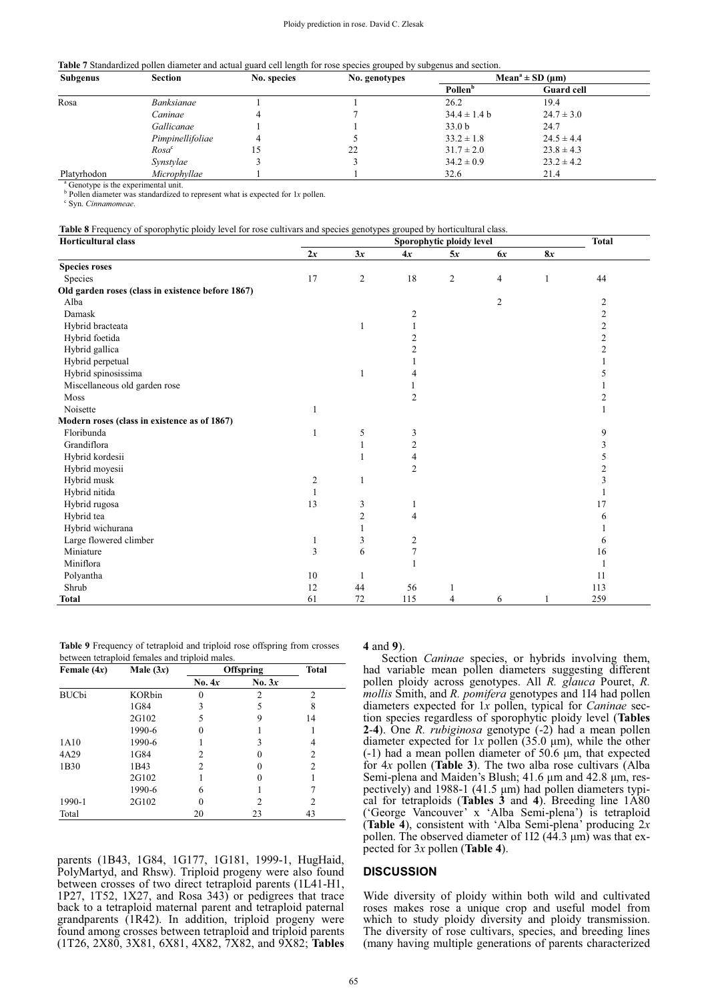#### Ploidy prediction in rose. David C. Zlesak

**Table 7** Standardized pollen diameter and actual guard cell length for rose species grouped by subgenus and section.

| <b>Subgenus</b>                                 | Section           | No. species | No. genotypes | Mean <sup>a</sup> $\pm$ SD ( $\mu$ m) |                   |  |
|-------------------------------------------------|-------------------|-------------|---------------|---------------------------------------|-------------------|--|
|                                                 |                   |             |               | <b>Pollen</b> <sup>b</sup>            | <b>Guard cell</b> |  |
| Rosa                                            | <i>Banksianae</i> |             |               | 26.2                                  | 19.4              |  |
|                                                 | Caninae           |             |               | $34.4 \pm 1.4 b$                      | $24.7 \pm 3.0$    |  |
|                                                 | Gallicanae        |             |               | 33.0 <sub>b</sub>                     | 24.7              |  |
|                                                 | Pimpinellifoliae  | 4           |               | $33.2 \pm 1.8$                        | $24.5 \pm 4.4$    |  |
|                                                 | Rosa <sup>c</sup> |             | 22            | $31.7 \pm 2.0$                        | $23.8 \pm 4.3$    |  |
|                                                 | Synstylae         |             |               | $34.2 \pm 0.9$                        | $23.2 \pm 4.2$    |  |
| Platyrhodon                                     | Microphyllae      |             |               | 32.6                                  | 21.4              |  |
| <sup>4</sup> Construe is the experimental unit. |                   |             |               |                                       |                   |  |

Genotype is the experimental unit.

 $\frac{b}{c}$  Pollen diameter was standardized to represent what is expected for 1*x* pollen.

Syn. *Cinnamomeae*.

| Table 8 Frequency of sporophytic ploidy level for rose cultivars and species genotypes grouped by horticultural class. |
|------------------------------------------------------------------------------------------------------------------------|
|------------------------------------------------------------------------------------------------------------------------|

| <b>Horticultural class</b>                        | Sporophytic ploidy level |                |                         |                |                | <b>Total</b> |                |
|---------------------------------------------------|--------------------------|----------------|-------------------------|----------------|----------------|--------------|----------------|
|                                                   | 2x                       | 3x             | 4x                      | 5x             | 6x             | 8x           |                |
| <b>Species roses</b>                              |                          |                |                         |                |                |              |                |
| Species                                           | 17                       | $\overline{2}$ | 18                      | $\overline{c}$ | 4              | $\mathbf{1}$ | 44             |
| Old garden roses (class in existence before 1867) |                          |                |                         |                |                |              |                |
| Alba                                              |                          |                |                         |                | $\overline{2}$ |              | 2              |
| Damask                                            |                          |                | $\overline{c}$          |                |                |              | $\overline{c}$ |
| Hybrid bracteata                                  |                          | 1              |                         |                |                |              | 2              |
| Hybrid foetida                                    |                          |                | $\mathbf{2}$            |                |                |              | $\overline{c}$ |
| Hybrid gallica                                    |                          |                | 2                       |                |                |              | 2              |
| Hybrid perpetual                                  |                          |                |                         |                |                |              |                |
| Hybrid spinosissima                               |                          | $\mathbf{1}$   | 4                       |                |                |              | 5              |
| Miscellaneous old garden rose                     |                          |                |                         |                |                |              |                |
| Moss                                              |                          |                | $\overline{c}$          |                |                |              | 2              |
| Noisette                                          | 1                        |                |                         |                |                |              |                |
| Modern roses (class in existence as of 1867)      |                          |                |                         |                |                |              |                |
| Floribunda                                        | 1                        | 5              | $\mathfrak{Z}$          |                |                |              | 9              |
| Grandiflora                                       |                          | $\mathbf{1}$   | $\overline{c}$          |                |                |              | 3              |
| Hybrid kordesii                                   |                          |                | 4                       |                |                |              | 5              |
| Hybrid moyesii                                    |                          |                | $\overline{2}$          |                |                |              | 2              |
| Hybrid musk                                       | $\overline{c}$           | 1              |                         |                |                |              | 3              |
| Hybrid nitida                                     | 1                        |                |                         |                |                |              |                |
| Hybrid rugosa                                     | 13                       | 3              | 1                       |                |                |              | 17             |
| Hybrid tea                                        |                          | $\overline{c}$ | $\overline{4}$          |                |                |              | 6              |
| Hybrid wichurana                                  |                          |                |                         |                |                |              |                |
| Large flowered climber                            | 1                        | 3              | $\overline{\mathbf{c}}$ |                |                |              | 6              |
| Miniature                                         | 3                        | 6              | $\tau$                  |                |                |              | 16             |
| Miniflora                                         |                          |                |                         |                |                |              |                |
| Polyantha                                         | 10                       | 1              |                         |                |                |              | 11             |
| Shrub                                             | 12                       | 44             | 56                      |                |                |              | 113            |
| <b>Total</b>                                      | 61                       | 72             | 115                     | 4              | 6              |              | 259            |

**Table 9** Frequency of tetraploid and triploid rose offspring from crosses between tetraploid females and triploid males.

| Female $(4x)$ | Male $(3x)$   | <b>Offspring</b> | <b>Total</b>   |                |
|---------------|---------------|------------------|----------------|----------------|
|               |               | No. 4x           | No. $3x$       |                |
| <b>BUCbi</b>  | <b>KORbin</b> | 0                | $\mathfrak{D}$ | $\overline{c}$ |
|               | 1G84          | 3                | 5              | 8              |
|               | 2G102         | 5                | 9              | 14             |
|               | 1990-6        | 0                |                |                |
| 1A10          | 1990-6        |                  | 3              | 4              |
| 4A29          | 1G84          | 2                | 0              | 2              |
| 1B30          | 1B43          | 2                | 0              | $\overline{c}$ |
|               | 2G102         |                  |                |                |
|               | 1990-6        | 6                |                |                |
| 1990-1        | 2G102         | 0                | $\mathfrak{D}$ | 2              |
| Total         |               | 20               | 23             | 43             |

parents (1B43, 1G84, 1G177, 1G181, 1999-1, HugHaid, PolyMartyd, and Rhsw). Triploid progeny were also found between crosses of two direct tetraploid parents (1L41-H1, 1P27, 1T52, 1X27, and Rosa 343) or pedigrees that trace back to a tetraploid maternal parent and tetraploid paternal grandparents (1R42). In addition, triploid progeny were found among crosses between tetraploid and triploid parents (1T26, 2X80, 3X81, 6X81, 4X82, 7X82, and 9X82; **Tables** 

**4** and **9**).

Section *Caninae* species, or hybrids involving them, had variable mean pollen diameters suggesting different pollen ploidy across genotypes. All *R. glauca* Pouret, *R. mollis* Smith, and *R. pomifera* genotypes and 1I4 had pollen diameters expected for 1*x* pollen, typical for *Caninae* section species regardless of sporophytic ploidy level (**Tables 2**-**4**). One *R. rubiginosa* genotype (-2) had a mean pollen diameter expected for  $1x$  pollen (35.0  $\mu$ m), while the other  $(-1)$  had a mean pollen diameter of 50.6  $\mu$ m, that expected for 4*x* pollen (**Table 3**). The two alba rose cultivars (Alba Semi-plena and Maiden's Blush;  $41.6 \mu m$  and  $42.8 \mu m$ , respectively) and  $1988-1$  (41.5  $\mu$ m) had pollen diameters typical for tetraploids (**Tables 3** and **4**). Breeding line 1A80 ('George Vancouver' x 'Alba Semi-plena') is tetraploid (**Table 4**), consistent with 'Alba Semi-plena' producing 2*x* pollen. The observed diameter of  $112$  (44.3  $\mu$ m) was that expected for 3*x* pollen (**Table 4**).

## **DISCUSSION**

Wide diversity of ploidy within both wild and cultivated roses makes rose a unique crop and useful model from which to study ploidy diversity and ploidy transmission. The diversity of rose cultivars, species, and breeding lines (many having multiple generations of parents characterized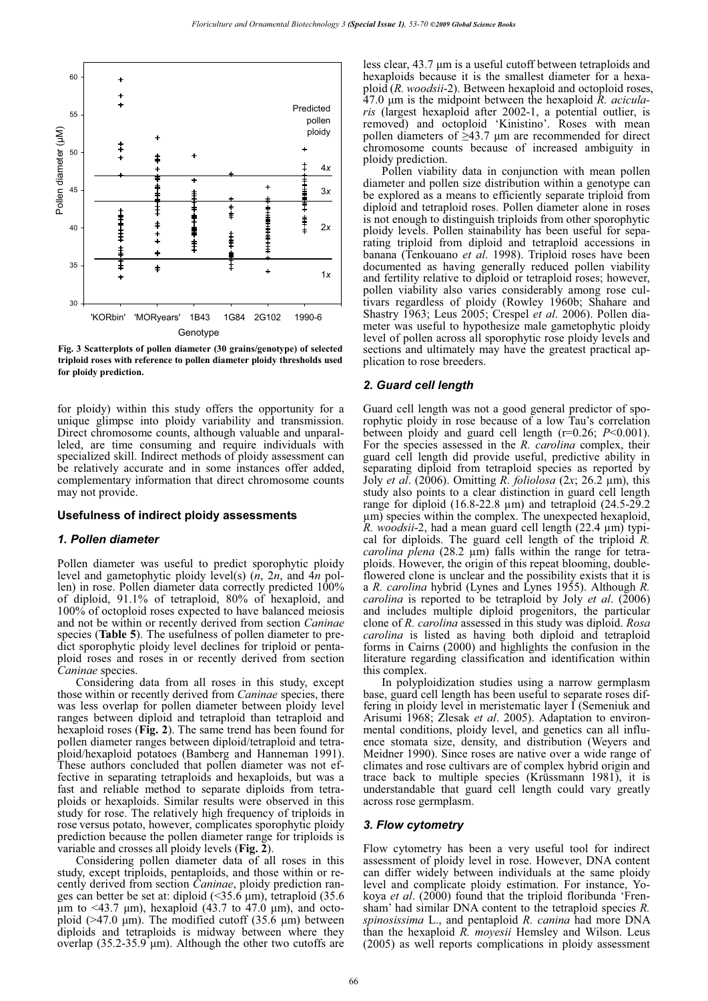

**Fig. 3 Scatterplots of pollen diameter (30 grains/genotype) of selected triploid roses with reference to pollen diameter ploidy thresholds used for ploidy prediction.**

for ploidy) within this study offers the opportunity for a unique glimpse into ploidy variability and transmission. Direct chromosome counts, although valuable and unparalleled, are time consuming and require individuals with specialized skill. Indirect methods of ploidy assessment can be relatively accurate and in some instances offer added, complementary information that direct chromosome counts may not provide.

#### **Usefulness of indirect ploidy assessments**

#### *1. Pollen diameter*

Pollen diameter was useful to predict sporophytic ploidy level and gametophytic ploidy level(s) (*n*, 2*n*, and 4*n* pollen) in rose. Pollen diameter data correctly predicted 100% of diploid, 91.1% of tetraploid, 80% of hexaploid, and 100% of octoploid roses expected to have balanced meiosis and not be within or recently derived from section *Caninae* species (**Table 5**). The usefulness of pollen diameter to predict sporophytic ploidy level declines for triploid or pentaploid roses and roses in or recently derived from section *Caninae* species.

Considering data from all roses in this study, except those within or recently derived from *Caninae* species, there was less overlap for pollen diameter between ploidy level ranges between diploid and tetraploid than tetraploid and hexaploid roses (**Fig. 2**). The same trend has been found for pollen diameter ranges between diploid/tetraploid and tetraploid/hexaploid potatoes (Bamberg and Hanneman 1991). These authors concluded that pollen diameter was not effective in separating tetraploids and hexaploids, but was a fast and reliable method to separate diploids from tetraploids or hexaploids. Similar results were observed in this study for rose. The relatively high frequency of triploids in rose versus potato, however, complicates sporophytic ploidy prediction because the pollen diameter range for triploids is variable and crosses all ploidy levels (**Fig. 2**).

Considering pollen diameter data of all roses in this study, except triploids, pentaploids, and those within or recently derived from section *Caninae*, ploidy prediction ranges can better be set at: diploid  $(\leq 35.6 \text{ }\mu\text{m})$ , tetraploid  $(35.6 \text{ }\mu\text{m})$  $\mu$ m to <43.7  $\mu$ m), hexaploid (43.7 to 47.0  $\mu$ m), and octoploid ( $>47.0 \mu m$ ). The modified cutoff (35.6  $\mu$ m) between diploids and tetraploids is midway between where they overlap  $(35.2-35.9 \mu m)$ . Although the other two cutoffs are

less clear, 43.7 µm is a useful cutoff between tetraploids and hexaploids because it is the smallest diameter for a hexaploid (*R. woodsii*-2). Between hexaploid and octoploid roses, 47.0 μm is the midpoint between the hexaploid *R. acicularis* (largest hexaploid after 2002-1, a potential outlier, is removed) and octoploid 'Kinistino'. Roses with mean pollen diameters of  $\geq$ 43.7 µm are recommended for direct chromosome counts because of increased ambiguity in ploidy prediction.

Pollen viability data in conjunction with mean pollen diameter and pollen size distribution within a genotype can be explored as a means to efficiently separate triploid from diploid and tetraploid roses. Pollen diameter alone in roses is not enough to distinguish triploids from other sporophytic ploidy levels. Pollen stainability has been useful for separating triploid from diploid and tetraploid accessions in banana (Tenkouano *et al*. 1998). Triploid roses have been documented as having generally reduced pollen viability and fertility relative to diploid or tetraploid roses; however, pollen viability also varies considerably among rose cultivars regardless of ploidy (Rowley 1960b; Shahare and Shastry 1963; Leus 2005; Crespel *et al*. 2006). Pollen diameter was useful to hypothesize male gametophytic ploidy level of pollen across all sporophytic rose ploidy levels and sections and ultimately may have the greatest practical application to rose breeders.

## *2. Guard cell length*

Guard cell length was not a good general predictor of sporophytic ploidy in rose because of a low Tau's correlation between ploidy and guard cell length (r=0.26; *P*<0.001). For the species assessed in the *R. carolina* complex, their guard cell length did provide useful, predictive ability in separating diploid from tetraploid species as reported by Joly *et al*. (2006). Omitting *R. foliolosa* (2*x*; 26.2 μm), this study also points to a clear distinction in guard cell length range for diploid (16.8-22.8 μm) and tetraploid (24.5-29.2 μm) species within the complex. The unexpected hexaploid, *R. woodsii*-2, had a mean guard cell length (22.4 μm) typical for diploids. The guard cell length of the triploid *R. carolina plena* (28.2 μm) falls within the range for tetraploids. However, the origin of this repeat blooming, doubleflowered clone is unclear and the possibility exists that it is a *R. carolina* hybrid (Lynes and Lynes 1955). Although *R. carolina* is reported to be tetraploid by Joly *et al*. (2006) and includes multiple diploid progenitors, the particular clone of *R. carolina* assessed in this study was diploid. *Rosa carolina* is listed as having both diploid and tetraploid forms in Cairns (2000) and highlights the confusion in the literature regarding classification and identification within this complex.

In polyploidization studies using a narrow germplasm base, guard cell length has been useful to separate roses differing in ploidy level in meristematic layer I (Semeniuk and Arisumi 1968; Zlesak *et al*. 2005). Adaptation to environmental conditions, ploidy level, and genetics can all influence stomata size, density, and distribution (Weyers and Meidner 1990). Since roses are native over a wide range of climates and rose cultivars are of complex hybrid origin and trace back to multiple species (Krüssmann 1981), it is understandable that guard cell length could vary greatly across rose germplasm.

## *3. Flow cytometry*

Flow cytometry has been a very useful tool for indirect assessment of ploidy level in rose. However, DNA content can differ widely between individuals at the same ploidy level and complicate ploidy estimation. For instance, Yokoya *et al*. (2000) found that the triploid floribunda 'Frensham' had similar DNA content to the tetraploid species *R. spinosissima* L., and pentaploid *R. canina* had more DNA than the hexaploid *R. moyesii* Hemsley and Wilson. Leus (2005) as well reports complications in ploidy assessment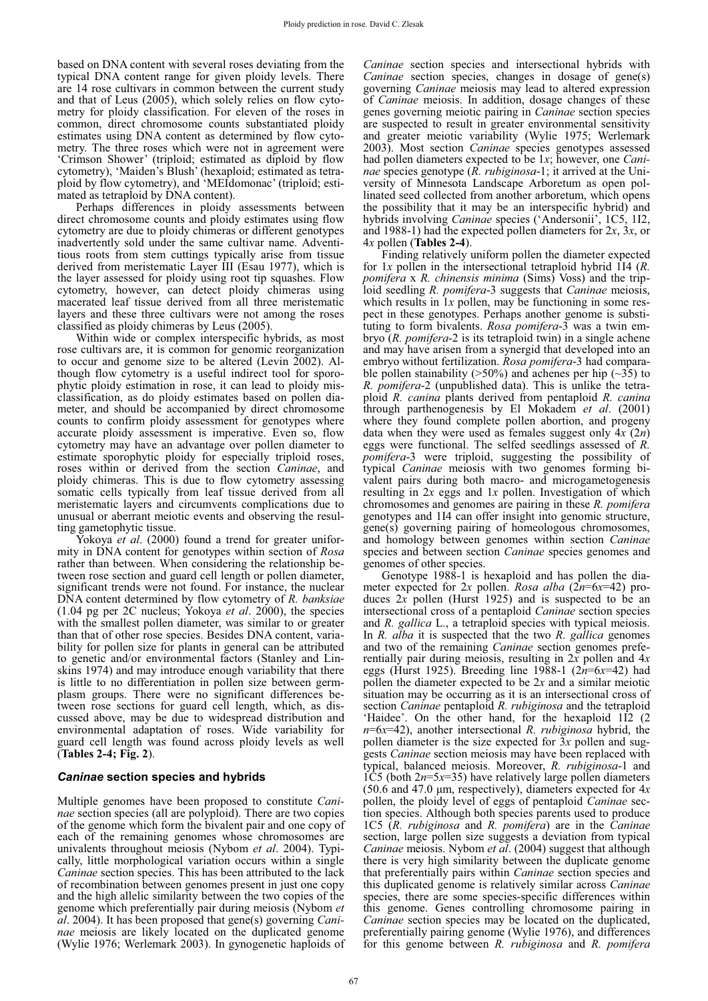based on DNA content with several roses deviating from the typical DNA content range for given ploidy levels. There are 14 rose cultivars in common between the current study and that of Leus (2005), which solely relies on flow cytometry for ploidy classification. For eleven of the roses in common, direct chromosome counts substantiated ploidy estimates using DNA content as determined by flow cytometry. The three roses which were not in agreement were 'Crimson Shower' (triploid; estimated as diploid by flow cytometry), 'Maiden's Blush' (hexaploid; estimated as tetraploid by flow cytometry), and 'MEIdomonac' (triploid; estimated as tetraploid by DNA content).

Perhaps differences in ploidy assessments between direct chromosome counts and ploidy estimates using flow cytometry are due to ploidy chimeras or different genotypes inadvertently sold under the same cultivar name. Adventitious roots from stem cuttings typically arise from tissue derived from meristematic Layer III (Esau 1977), which is the layer assessed for ploidy using root tip squashes. Flow cytometry, however, can detect ploidy chimeras using macerated leaf tissue derived from all three meristematic layers and these three cultivars were not among the roses classified as ploidy chimeras by Leus (2005).

Within wide or complex interspecific hybrids, as most rose cultivars are, it is common for genomic reorganization to occur and genome size to be altered (Levin 2002). Although flow cytometry is a useful indirect tool for sporophytic ploidy estimation in rose, it can lead to ploidy misclassification, as do ploidy estimates based on pollen diameter, and should be accompanied by direct chromosome counts to confirm ploidy assessment for genotypes where accurate ploidy assessment is imperative. Even so, flow cytometry may have an advantage over pollen diameter to estimate sporophytic ploidy for especially triploid roses, roses within or derived from the section *Caninae*, and ploidy chimeras. This is due to flow cytometry assessing somatic cells typically from leaf tissue derived from all meristematic layers and circumvents complications due to unusual or aberrant meiotic events and observing the resulting gametophytic tissue.

Yokoya *et al*. (2000) found a trend for greater uniformity in DNA content for genotypes within section of *Rosa* rather than between. When considering the relationship between rose section and guard cell length or pollen diameter, significant trends were not found. For instance, the nuclear DNA content determined by flow cytometry of *R. banksiae* (1.04 pg per 2C nucleus; Yokoya *et al*. 2000), the species with the smallest pollen diameter, was similar to or greater than that of other rose species. Besides DNA content, variability for pollen size for plants in general can be attributed to genetic and/or environmental factors (Stanley and Linskins 1974) and may introduce enough variability that there is little to no differentiation in pollen size between germplasm groups. There were no significant differences between rose sections for guard cell length, which, as discussed above, may be due to widespread distribution and environmental adaptation of roses. Wide variability for guard cell length was found across ploidy levels as well (**Tables 2-4; Fig. 2**).

## *Caninae* **section species and hybrids**

Multiple genomes have been proposed to constitute *Caninae* section species (all are polyploid). There are two copies of the genome which form the bivalent pair and one copy of each of the remaining genomes whose chromosomes are univalents throughout meiosis (Nybom *et al*. 2004). Typically, little morphological variation occurs within a single *Caninae* section species. This has been attributed to the lack of recombination between genomes present in just one copy and the high allelic similarity between the two copies of the genome which preferentially pair during meiosis (Nybom *et al*. 2004). It has been proposed that gene(s) governing *Caninae* meiosis are likely located on the duplicated genome (Wylie 1976; Werlemark 2003). In gynogenetic haploids of *Caninae* section species and intersectional hybrids with *Caninae* section species, changes in dosage of gene(s) governing *Caninae* meiosis may lead to altered expression of *Caninae* meiosis. In addition, dosage changes of these genes governing meiotic pairing in *Caninae* section species are suspected to result in greater environmental sensitivity and greater meiotic variability (Wylie 1975; Werlemark 2003). Most section *Caninae* species genotypes assessed had pollen diameters expected to be 1*x*; however, one *Caninae* species genotype (*R. rubiginosa*-1; it arrived at the University of Minnesota Landscape Arboretum as open pollinated seed collected from another arboretum, which opens the possibility that it may be an interspecific hybrid) and hybrids involving *Caninae* species ('Andersonii', 1C5, 1I2, and 1988-1) had the expected pollen diameters for  $2x$ ,  $3x$ , or 4*x* pollen (**Tables 2-4**).

Finding relatively uniform pollen the diameter expected for 1*x* pollen in the intersectional tetraploid hybrid 1I4 (*R. pomifera* x *R. chinensis minima* (Sims) Voss) and the triploid seedling *R. pomifera*-3 suggests that *Caninae* meiosis, which results in 1*x* pollen, may be functioning in some respect in these genotypes. Perhaps another genome is substituting to form bivalents. *Rosa pomifera*-3 was a twin embryo (*R. pomifera*-2 is its tetraploid twin) in a single achene and may have arisen from a synergid that developed into an embryo without fertilization. *Rosa pomifera*-3 had comparable pollen stainability ( $>50\%$ ) and achenes per hip ( $\sim$ 35) to *R. pomifera*-2 (unpublished data). This is unlike the tetraploid *R. canina* plants derived from pentaploid *R. canina* through parthenogenesis by El Mokadem *et al*. (2001) where they found complete pollen abortion, and progeny data when they were used as females suggest only 4*x* (2*n*) eggs were functional. The selfed seedlings assessed of *R. pomifera*-3 were triploid, suggesting the possibility of typical *Caninae* meiosis with two genomes forming bivalent pairs during both macro- and microgametogenesis resulting in 2*x* eggs and 1*x* pollen. Investigation of which chromosomes and genomes are pairing in these *R. pomifera* genotypes and 1I4 can offer insight into genomic structure, gene(s) governing pairing of homeologous chromosomes, and homology between genomes within section *Caninae* species and between section *Caninae* species genomes and genomes of other species.

Genotype 1988-1 is hexaploid and has pollen the diameter expected for 2*x* pollen. *Rosa alba* (2*n*=6*x*=42) produces 2*x* pollen (Hurst 1925) and is suspected to be an intersectional cross of a pentaploid *Caninae* section species and *R. gallica* L., a tetraploid species with typical meiosis. In *R. alba* it is suspected that the two *R. gallica* genomes and two of the remaining *Caninae* section genomes preferentially pair during meiosis, resulting in 2*x* pollen and 4*x* eggs (Hurst 1925). Breeding line 1988-1 (2*n*=6*x*=42) had pollen the diameter expected to be 2*x* and a similar meiotic situation may be occurring as it is an intersectional cross of section *Caninae* pentaploid *R. rubiginosa* and the tetraploid 'Haidee'. On the other hand, for the hexaploid 1I2 (2 *n*=6*x*=42), another intersectional *R. rubiginosa* hybrid, the pollen diameter is the size expected for 3*x* pollen and suggests *Caninae* section meiosis may have been replaced with typical, balanced meiosis. Moreover, *R. rubiginosa*-1 and 1 $\hat{C}$ 5 (both 2*n*=5*x*=35) have relatively large pollen diameters  $(50.6$  and  $47.0$   $\mu$ m, respectively), diameters expected for  $4x$ pollen, the ploidy level of eggs of pentaploid *Caninae* section species. Although both species parents used to produce 1C5 (*R. rubiginosa* and *R. pomifera*) are in the *Caninae* section, large pollen size suggests a deviation from typical *Caninae* meiosis. Nybom *et al*. (2004) suggest that although there is very high similarity between the duplicate genome that preferentially pairs within *Caninae* section species and this duplicated genome is relatively similar across *Caninae* species, there are some species-specific differences within this genome. Genes controlling chromosome pairing in *Caninae* section species may be located on the duplicated, preferentially pairing genome (Wylie 1976), and differences for this genome between *R. rubiginosa* and *R. pomifera*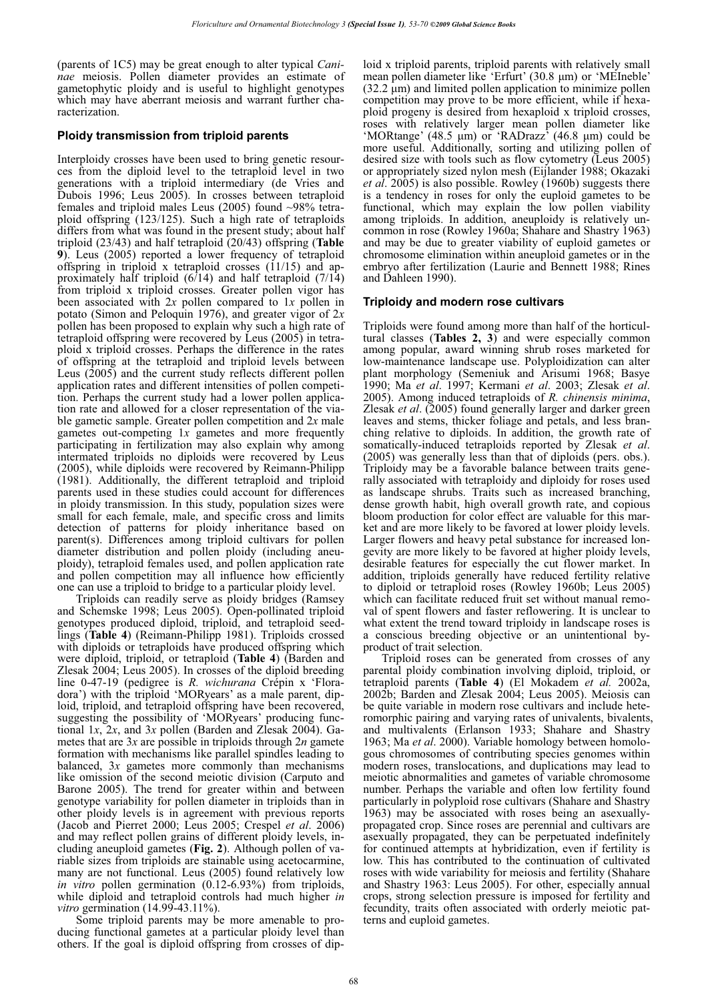(parents of 1C5) may be great enough to alter typical *Caninae* meiosis. Pollen diameter provides an estimate of gametophytic ploidy and is useful to highlight genotypes which may have aberrant meiosis and warrant further characterization.

## **Ploidy transmission from triploid parents**

Interploidy crosses have been used to bring genetic resources from the diploid level to the tetraploid level in two generations with a triploid intermediary (de Vries and Dubois 1996; Leus 2005). In crosses between tetraploid females and triploid males Leus (2005) found ~98% tetraploid offspring (123/125). Such a high rate of tetraploids differs from what was found in the present study; about half triploid (23/43) and half tetraploid (20/43) offspring (**Table 9**). Leus (2005) reported a lower frequency of tetraploid offspring in triploid x tetraploid crosses  $(11/15)$  and approximately half triploid  $(6/14)$  and half tetraploid  $(7/14)$ from triploid x triploid crosses. Greater pollen vigor has been associated with 2*x* pollen compared to 1*x* pollen in potato (Simon and Peloquin 1976), and greater vigor of 2*x* pollen has been proposed to explain why such a high rate of tetraploid offspring were recovered by Leus (2005) in tetraploid x triploid crosses. Perhaps the difference in the rates of offspring at the tetraploid and triploid levels between Leus (2005) and the current study reflects different pollen application rates and different intensities of pollen competition. Perhaps the current study had a lower pollen application rate and allowed for a closer representation of the viable gametic sample. Greater pollen competition and 2*x* male gametes out-competing 1*x* gametes and more frequently participating in fertilization may also explain why among intermated triploids no diploids were recovered by Leus (2005), while diploids were recovered by Reimann-Philipp (1981). Additionally, the different tetraploid and triploid parents used in these studies could account for differences in ploidy transmission. In this study, population sizes were small for each female, male, and specific cross and limits detection of patterns for ploidy inheritance based on parent(s). Differences among triploid cultivars for pollen diameter distribution and pollen ploidy (including aneuploidy), tetraploid females used, and pollen application rate and pollen competition may all influence how efficiently one can use a triploid to bridge to a particular ploidy level.

Triploids can readily serve as ploidy bridges (Ramsey and Schemske 1998; Leus 2005). Open-pollinated triploid genotypes produced diploid, triploid, and tetraploid seedlings (**Table 4**) (Reimann-Philipp 1981). Triploids crossed with diploids or tetraploids have produced offspring which were diploid, triploid, or tetraploid (**Table 4**) (Barden and Zlesak 2004; Leus 2005). In crosses of the diploid breeding line 0-47-19 (pedigree is *R. wichurana* Crépin x 'Floradora') with the triploid 'MORyears' as a male parent, diploid, triploid, and tetraploid offspring have been recovered, suggesting the possibility of 'MORyears' producing functional 1*x*, 2*x*, and 3*x* pollen (Barden and Zlesak 2004). Gametes that are 3*x* are possible in triploids through 2*n* gamete formation with mechanisms like parallel spindles leading to balanced, 3*x* gametes more commonly than mechanisms like omission of the second meiotic division (Carputo and Barone 2005). The trend for greater within and between genotype variability for pollen diameter in triploids than in other ploidy levels is in agreement with previous reports (Jacob and Pierret 2000; Leus 2005; Crespel *et al*. 2006) and may reflect pollen grains of different ploidy levels, including aneuploid gametes (**Fig. 2**). Although pollen of variable sizes from triploids are stainable using acetocarmine, many are not functional. Leus (2005) found relatively low *in vitro* pollen germination (0.12-6.93%) from triploids, while diploid and tetraploid controls had much higher *in vitro* germination (14.99-43.11%).

Some triploid parents may be more amenable to producing functional gametes at a particular ploidy level than others. If the goal is diploid offspring from crosses of diploid x triploid parents, triploid parents with relatively small mean pollen diameter like 'Erfurt' (30.8 µm) or 'MEIneble'  $(32.2 \mu m)$  and limited pollen application to minimize pollen competition may prove to be more efficient, while if hexaploid progeny is desired from hexaploid x triploid crosses, roses with relatively larger mean pollen diameter like 'MORtange' (48.5  $\mu$ m) or 'RADrazz' (46.8  $\mu$ m) could be more useful. Additionally, sorting and utilizing pollen of desired size with tools such as flow cytometry (Leus 2005) or appropriately sized nylon mesh (Eijlander 1988; Okazaki *et al*. 2005) is also possible. Rowley (1960b) suggests there is a tendency in roses for only the euploid gametes to be functional, which may explain the low pollen viability among triploids. In addition, aneuploidy is relatively uncommon in rose (Rowley 1960a; Shahare and Shastry 1963) and may be due to greater viability of euploid gametes or chromosome elimination within aneuploid gametes or in the embryo after fertilization (Laurie and Bennett 1988; Rines and Dahleen 1990).

## **Triploidy and modern rose cultivars**

Triploids were found among more than half of the horticultural classes (**Tables 2, 3**) and were especially common among popular, award winning shrub roses marketed for low-maintenance landscape use. Polyploidization can alter plant morphology (Semeniuk and Arisumi 1968; Basye 1990; Ma *et al*. 1997; Kermani *et al*. 2003; Zlesak *et al*. 2005). Among induced tetraploids of *R. chinensis minima*, Zlesak *et al*. (2005) found generally larger and darker green leaves and stems, thicker foliage and petals, and less branching relative to diploids. In addition, the growth rate of somatically-induced tetraploids reported by Zlesak *et al*. (2005) was generally less than that of diploids (pers. obs.). Triploidy may be a favorable balance between traits generally associated with tetraploidy and diploidy for roses used as landscape shrubs. Traits such as increased branching, dense growth habit, high overall growth rate, and copious bloom production for color effect are valuable for this market and are more likely to be favored at lower ploidy levels. Larger flowers and heavy petal substance for increased longevity are more likely to be favored at higher ploidy levels, desirable features for especially the cut flower market. In addition, triploids generally have reduced fertility relative to diploid or tetraploid roses (Rowley 1960b; Leus 2005) which can facilitate reduced fruit set without manual removal of spent flowers and faster reflowering. It is unclear to what extent the trend toward triploidy in landscape roses is a conscious breeding objective or an unintentional byproduct of trait selection.

Triploid roses can be generated from crosses of any parental ploidy combination involving diploid, triploid, or tetraploid parents (**Table 4**) (El Mokadem *et al.* 2002a, 2002b; Barden and Zlesak 2004; Leus 2005). Meiosis can be quite variable in modern rose cultivars and include heteromorphic pairing and varying rates of univalents, bivalents, and multivalents (Erlanson 1933; Shahare and Shastry 1963; Ma *et al*. 2000). Variable homology between homologous chromosomes of contributing species genomes within modern roses, translocations, and duplications may lead to meiotic abnormalities and gametes of variable chromosome number. Perhaps the variable and often low fertility found particularly in polyploid rose cultivars (Shahare and Shastry 1963) may be associated with roses being an asexuallypropagated crop. Since roses are perennial and cultivars are asexually propagated, they can be perpetuated indefinitely for continued attempts at hybridization, even if fertility is low. This has contributed to the continuation of cultivated roses with wide variability for meiosis and fertility (Shahare and Shastry 1963: Leus 2005). For other, especially annual crops, strong selection pressure is imposed for fertility and fecundity, traits often associated with orderly meiotic patterns and euploid gametes.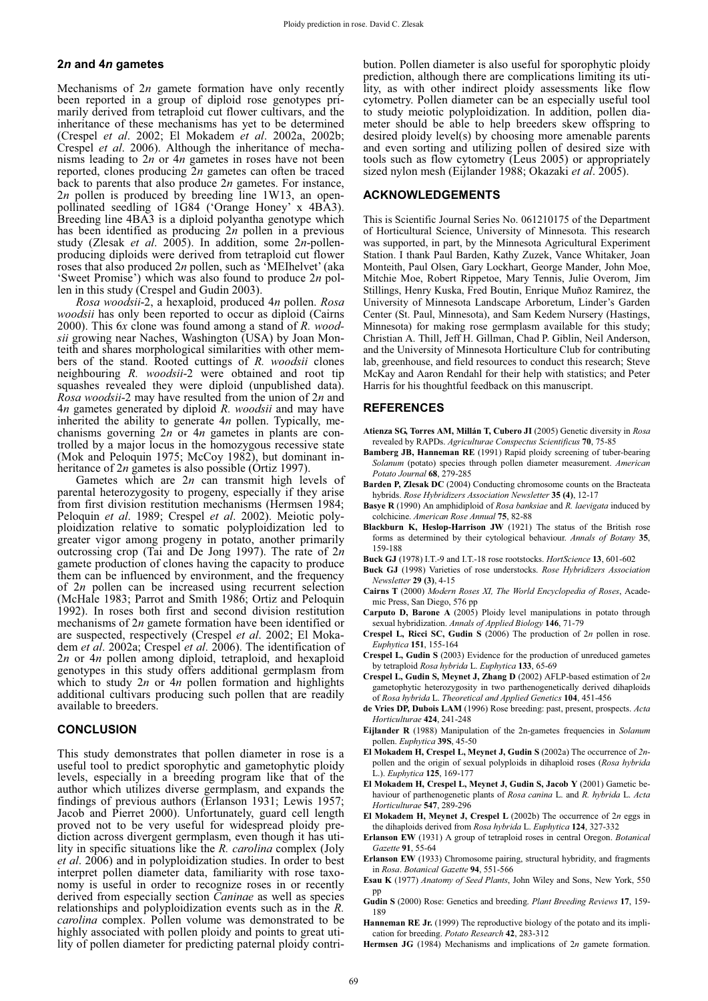## **2***n* **and 4***n* **gametes**

Mechanisms of 2*n* gamete formation have only recently been reported in a group of diploid rose genotypes primarily derived from tetraploid cut flower cultivars, and the inheritance of these mechanisms has yet to be determined (Crespel *et al*. 2002; El Mokadem *et al*. 2002a, 2002b; Crespel *et al*. 2006). Although the inheritance of mechanisms leading to 2*n* or 4*n* gametes in roses have not been reported, clones producing 2*n* gametes can often be traced back to parents that also produce 2*n* gametes. For instance, 2*n* pollen is produced by breeding line 1W13, an openpollinated seedling of 1G84 ('Orange Honey' x 4BA3). Breeding line 4BA3 is a diploid polyantha genotype which has been identified as producing 2*n* pollen in a previous study (Zlesak *et al*. 2005). In addition, some 2*n*-pollenproducing diploids were derived from tetraploid cut flower roses that also produced 2*n* pollen, such as 'MEIhelvet' (aka 'Sweet Promise') which was also found to produce 2*n* pollen in this study (Crespel and Gudin 2003).

*Rosa woodsii*-2, a hexaploid, produced 4*n* pollen. *Rosa woodsii* has only been reported to occur as diploid (Cairns 2000). This 6*x* clone was found among a stand of *R. woodsii* growing near Naches, Washington (USA) by Joan Monteith and shares morphological similarities with other members of the stand. Rooted cuttings of *R. woodsii* clones neighbouring *R. woodsii*-2 were obtained and root tip squashes revealed they were diploid (unpublished data). *Rosa woodsii*-2 may have resulted from the union of 2*n* and 4*n* gametes generated by diploid *R. woodsii* and may have inherited the ability to generate 4*n* pollen. Typically, mechanisms governing 2*n* or 4*n* gametes in plants are controlled by a major locus in the homozygous recessive state (Mok and Peloquin 1975; McCoy 1982), but dominant inheritance of 2*n* gametes is also possible (Ortiz 1997).

Gametes which are 2*n* can transmit high levels of parental heterozygosity to progeny, especially if they arise from first division restitution mechanisms (Hermsen 1984; Peloquin *et al*. 1989; Crespel *et al*. 2002). Meiotic polyploidization relative to somatic polyploidization led to greater vigor among progeny in potato, another primarily outcrossing crop (Tai and De Jong 1997). The rate of 2*n* gamete production of clones having the capacity to produce them can be influenced by environment, and the frequency of 2*n* pollen can be increased using recurrent selection (McHale 1983; Parrot and Smith 1986; Ortiz and Peloquin 1992). In roses both first and second division restitution mechanisms of 2*n* gamete formation have been identified or are suspected, respectively (Crespel *et al*. 2002; El Mokadem *et al*. 2002a; Crespel *et al*. 2006). The identification of 2*n* or 4*n* pollen among diploid, tetraploid, and hexaploid genotypes in this study offers additional germplasm from which to study 2*n* or 4*n* pollen formation and highlights additional cultivars producing such pollen that are readily available to breeders.

#### **CONCLUSION**

This study demonstrates that pollen diameter in rose is a useful tool to predict sporophytic and gametophytic ploidy levels, especially in a breeding program like that of the author which utilizes diverse germplasm, and expands the findings of previous authors (Erlanson 1931; Lewis 1957; Jacob and Pierret 2000). Unfortunately, guard cell length proved not to be very useful for widespread ploidy prediction across divergent germplasm, even though it has utility in specific situations like the *R. carolina* complex (Joly *et al*. 2006) and in polyploidization studies. In order to best interpret pollen diameter data, familiarity with rose taxonomy is useful in order to recognize roses in or recently derived from especially section *Caninae* as well as species relationships and polyploidization events such as in the *R. carolina* complex. Pollen volume was demonstrated to be highly associated with pollen ploidy and points to great utility of pollen diameter for predicting paternal ploidy contribution. Pollen diameter is also useful for sporophytic ploidy prediction, although there are complications limiting its utility, as with other indirect ploidy assessments like flow cytometry. Pollen diameter can be an especially useful tool to study meiotic polyploidization. In addition, pollen diameter should be able to help breeders skew offspring to desired ploidy level(s) by choosing more amenable parents and even sorting and utilizing pollen of desired size with tools such as flow cytometry (Leus 2005) or appropriately sized nylon mesh (Eijlander 1988; Okazaki *et al*. 2005).

## **ACKNOWLEDGEMENTS**

This is Scientific Journal Series No. 061210175 of the Department of Horticultural Science, University of Minnesota. This research was supported, in part, by the Minnesota Agricultural Experiment Station. I thank Paul Barden, Kathy Zuzek, Vance Whitaker, Joan Monteith, Paul Olsen, Gary Lockhart, George Mander, John Moe, Mitchie Moe, Robert Rippetoe, Mary Tennis, Julie Overom, Jim Stillings, Henry Kuska, Fred Boutin, Enrique Muñoz Ramirez, the University of Minnesota Landscape Arboretum, Linder's Garden Center (St. Paul, Minnesota), and Sam Kedem Nursery (Hastings, Minnesota) for making rose germplasm available for this study; Christian A. Thill, Jeff H. Gillman, Chad P. Giblin, Neil Anderson, and the University of Minnesota Horticulture Club for contributing lab, greenhouse, and field resources to conduct this research; Steve McKay and Aaron Rendahl for their help with statistics; and Peter Harris for his thoughtful feedback on this manuscript.

#### **REFERENCES**

- **Atienza SG, Torres AM, Millán T, Cubero JI** (2005) Genetic diversity in *Rosa* revealed by RAPDs. *Agriculturae Conspectus Scientificus* **70**, 75-85
- **Bamberg JB, Hanneman RE** (1991) Rapid ploidy screening of tuber-bearing *Solanum* (potato) species through pollen diameter measurement. *American Potato Journal* **68**, 279-285
- **Barden P, Zlesak DC** (2004) Conducting chromosome counts on the Bracteata hybrids. *Rose Hybridizers Association Newsletter* **35 (4)**, 12-17
- **Basye R** (1990) An amphidiploid of *Rosa banksiae* and *R. laevigata* induced by colchicine. *American Rose Annual* **75**, 82-88
- **Blackburn K, Heslop-Harrison JW** (1921) The status of the British rose forms as determined by their cytological behaviour. *Annals of Botany* **35**, 159-188
- **Buck GJ** (1978) I.T.-9 and I.T.-18 rose rootstocks. *HortScience* **13**, 601-602
- **Buck GJ** (1998) Varieties of rose understocks. *Rose Hybridizers Association Newsletter* **29 (3)**, 4-15
- **Cairns T** (2000) *Modern Roses XI, The World Encyclopedia of Roses*, Academic Press, San Diego, 576 pp
- **Carputo D, Barone A** (2005) Ploidy level manipulations in potato through sexual hybridization. *Annals of Applied Biology* **146**, 71-79
- **Crespel L, Ricci SC, Gudin S** (2006) The production of 2*n* pollen in rose. *Euphytica* **151**, 155-164
- **Crespel L, Gudin S** (2003) Evidence for the production of unreduced gametes by tetraploid *Rosa hybrida* L. *Euphytica* **133**, 65-69
- **Crespel L, Gudin S, Meynet J, Zhang D** (2002) AFLP-based estimation of 2*n* gametophytic heterozygosity in two parthenogenetically derived dihaploids of *Rosa hybrida* L. *Theoretical and Applied Genetics* **104**, 451-456
- **de Vries DP, Dubois LAM** (1996) Rose breeding: past, present, prospects. *Acta Horticulturae* **424**, 241-248
- **Eijlander R** (1988) Manipulation of the 2n-gametes frequencies in *Solanum* pollen. *Euphytica* **39S**, 45-50
- **El Mokadem H, Crespel L, Meynet J, Gudin S** (2002a) The occurrence of *2n*pollen and the origin of sexual polyploids in dihaploid roses (*Rosa hybrida* L.). *Euphytica* **125**, 169-177
- **El Mokadem H, Crespel L, Meynet J, Gudin S, Jacob Y** (2001) Gametic behaviour of parthenogenetic plants of *Rosa canina* L. and *R. hybrida* L. *Acta Horticulturae* **547**, 289-296
- **El Mokadem H, Meynet J, Crespel L** (2002b) The occurrence of 2*n* eggs in the dihaploids derived from *Rosa hybrida* L. *Euphytica* **124**, 327-332
- **Erlanson EW** (1931) A group of tetraploid roses in central Oregon. *Botanical Gazette* **91**, 55-64
- **Erlanson EW** (1933) Chromosome pairing, structural hybridity, and fragments in *Rosa*. *Botanical Gazette* **94**, 551-566
- **Esau K** (1977) *Anatomy of Seed Plants*, John Wiley and Sons, New York, 550 pp
- **Gudin S** (2000) Rose: Genetics and breeding. *Plant Breeding Reviews* **17**, 159- 189
- **Hanneman RE Jr.** (1999) The reproductive biology of the potato and its implication for breeding. *Potato Research* **42**, 283-312
- **Hermsen JG** (1984) Mechanisms and implications of 2*n* gamete formation.